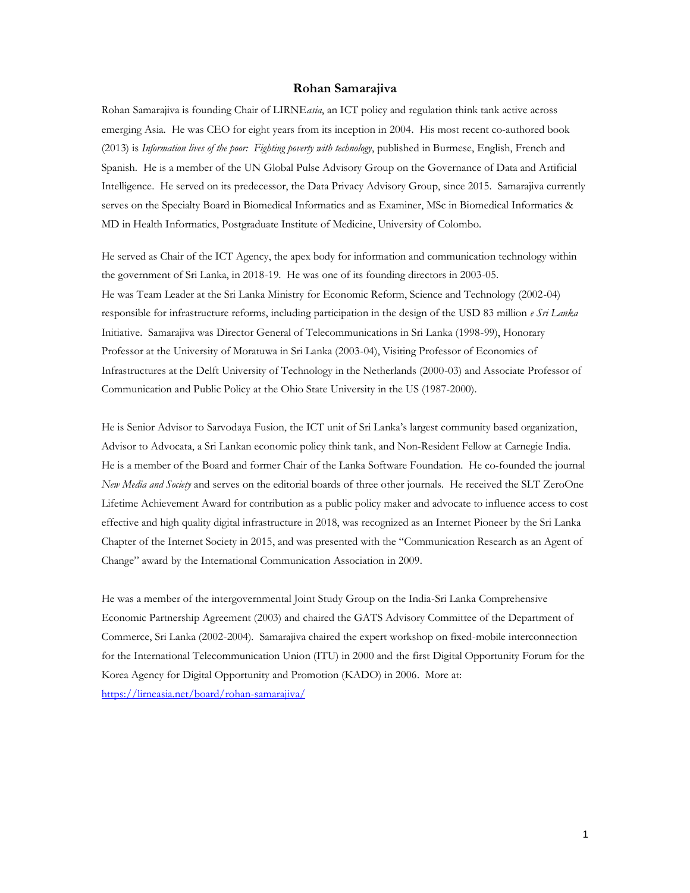#### **Rohan Samarajiva**

Rohan Samarajiva is founding Chair of LIRNE*asia*, an ICT policy and regulation think tank active across emerging Asia. He was CEO for eight years from its inception in 2004. His most recent co-authored book (2013) is *Information lives of the poor: Fighting poverty with technology*, published in Burmese, English, French and Spanish. He is a member of the UN Global Pulse Advisory Group on the Governance of Data and Artificial Intelligence. He served on its predecessor, the Data Privacy Advisory Group, since 2015. Samarajiva currently serves on the Specialty Board in Biomedical Informatics and as Examiner, MSc in Biomedical Informatics & MD in Health Informatics, Postgraduate Institute of Medicine, University of Colombo.

He served as Chair of the ICT Agency, the apex body for information and communication technology within the government of Sri Lanka, in 2018-19. He was one of its founding directors in 2003-05. He was Team Leader at the Sri Lanka Ministry for Economic Reform, Science and Technology (2002-04) responsible for infrastructure reforms, including participation in the design of the USD 83 million *e Sri Lanka* Initiative. Samarajiva was Director General of Telecommunications in Sri Lanka (1998-99), Honorary Professor at the University of Moratuwa in Sri Lanka (2003-04), Visiting Professor of Economics of Infrastructures at the Delft University of Technology in the Netherlands (2000-03) and Associate Professor of Communication and Public Policy at the Ohio State University in the US (1987-2000).

He is Senior Advisor to Sarvodaya Fusion, the ICT unit of Sri Lanka's largest community based organization, Advisor to Advocata, a Sri Lankan economic policy think tank, and Non-Resident Fellow at Carnegie India. He is a member of the Board and former Chair of the Lanka Software Foundation. He co-founded the journal *New Media and Society* and serves on the editorial boards of three other journals. He received the SLT ZeroOne Lifetime Achievement Award for contribution as a public policy maker and advocate to influence access to cost effective and high quality digital infrastructure in 2018, was recognized as an Internet Pioneer by the Sri Lanka Chapter of the Internet Society in 2015, and was presented with the "Communication Research as an Agent of Change" award by the International Communication Association in 2009.

He was a member of the intergovernmental Joint Study Group on the India-Sri Lanka Comprehensive Economic Partnership Agreement (2003) and chaired the GATS Advisory Committee of the Department of Commerce, Sri Lanka (2002-2004). Samarajiva chaired the expert workshop on fixed-mobile interconnection for the International Telecommunication Union (ITU) in 2000 and the first Digital Opportunity Forum for the Korea Agency for Digital Opportunity and Promotion (KADO) in 2006. More at: <https://lirneasia.net/board/rohan-samarajiva/>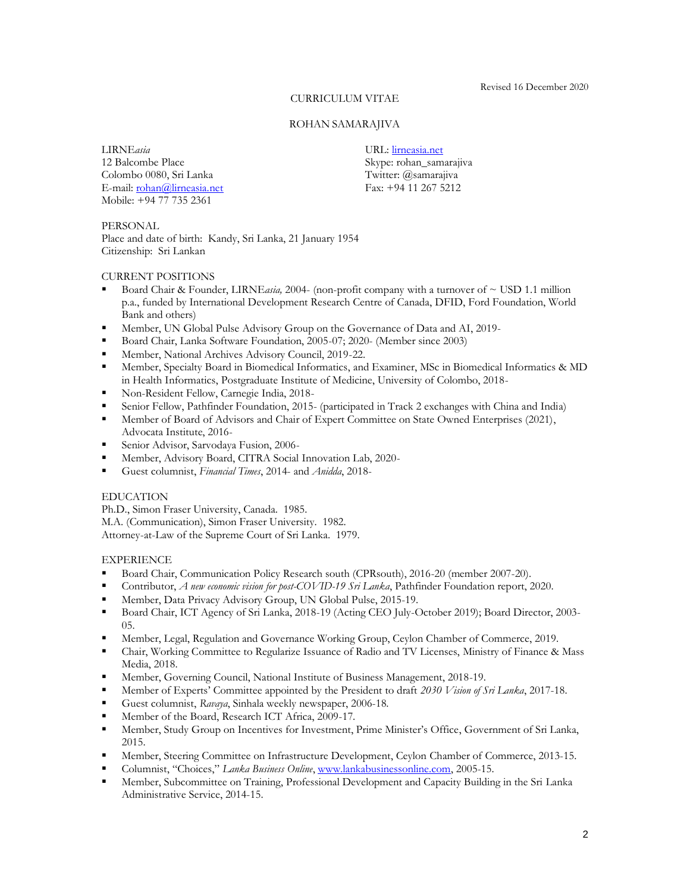Revised 16 December 2020

#### CURRICULUM VITAE

#### ROHAN SAMARAJIVA

LIRNE*asia* 12 Balcombe Place Colombo 0080, Sri Lanka E-mail[: rohan@lirneasia.net](mailto:rohan@lirneasia.net) Mobile: +94 77 735 2361

URL: [lirneasia.net](http://www.lirneasia.net/) Skype: rohan\_samarajiva Twitter: @samarajiva

Fax: +94 11 267 5212

PERSONAL Place and date of birth: Kandy, Sri Lanka, 21 January 1954 Citizenship: Sri Lankan

#### CURRENT POSITIONS

- Board Chair & Founder, LIRNEasia, 2004- (non-profit company with a turnover of ~ USD 1.1 million p.a., funded by International Development Research Centre of Canada, DFID, Ford Foundation, World Bank and others)
- Member, UN Global Pulse Advisory Group on the Governance of Data and AI, 2019-<br>■ Board Chair Lanka Software Foundation 2005-07: 2020- (Member since 2003)
- Board Chair, Lanka Software Foundation, 2005-07; 2020- (Member since 2003)
- Member, National Archives Advisory Council, 2019-22.
- Member, Specialty Board in Biomedical Informatics, and Examiner, MSc in Biomedical Informatics & MD in Health Informatics, Postgraduate Institute of Medicine, University of Colombo, 2018-
- **Non-Resident Fellow, Carnegie India, 2018-**
- Senior Fellow, Pathfinder Foundation, 2015- (participated in Track 2 exchanges with China and India)
- **■** Member of Board of Advisors and Chair of Expert Committee on State Owned Enterprises (2021), Advocata Institute, 2016-
- Senior Advisor, Sarvodaya Fusion, 2006-
- Member, Advisory Board, CITRA Social Innovation Lab, 2020-
- Guest columnist, *Financial Times*, 2014- and *Anidda*, 2018-

#### EDUCATION

Ph.D., Simon Fraser University, Canada. 1985. M.A. (Communication), Simon Fraser University. 1982. Attorney-at-Law of the Supreme Court of Sri Lanka. 1979.

# EXPERIENCE

- **•** Board Chair, Communication Policy Research south (CPRsouth), 2016-20 (member 2007-20).
- Contributor, *A new economic vision for post-COVID-19 Sri Lanka*, Pathfinder Foundation report, 2020.
- Member, Data Privacy Advisory Group, UN Global Pulse, 2015-19.
- Board Chair, ICT Agency of Sri Lanka, 2018-19 (Acting CEO July-October 2019); Board Director, 2003- 05.
- Member, Legal, Regulation and Governance Working Group, Ceylon Chamber of Commerce, 2019.
- Chair, Working Committee to Regularize Issuance of Radio and TV Licenses, Ministry of Finance & Mass Media, 2018.
- Member, Governing Council, National Institute of Business Management, 2018-19.
- **EXPERIENT:** Member of Experts' Committee appointed by the President to draft 2030 Vision of Sri Lanka, 2017-18.
- Guest columnist, *Ravaya*, Sinhala weekly newspaper, 2006-18.
- Member of the Board, Research ICT Africa, 2009-17.
- **EXECUTE:** Member, Study Group on Incentives for Investment, Prime Minister's Office, Government of Sri Lanka, 2015.
- Member, Steering Committee on Infrastructure Development, Ceylon Chamber of Commerce, 2013-15.
- Columnist, "Choices," *Lanka Business Online*, [www.lankabusinessonline.com,](http://www.lankabusinessonline.com/) 2005-15.
- Member, Subcommittee on Training, Professional Development and Capacity Building in the Sri Lanka Administrative Service, 2014-15.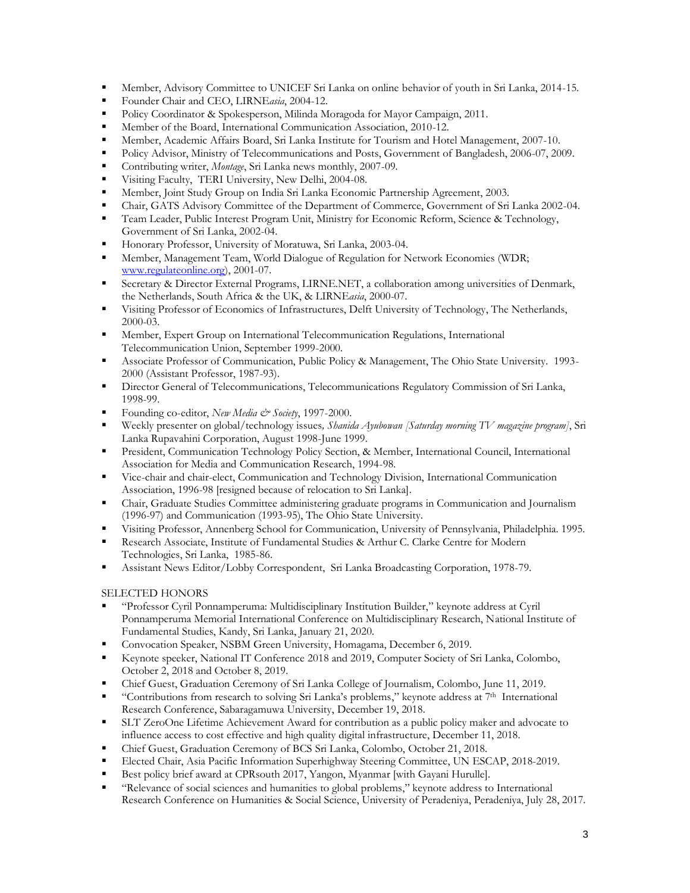- Member, Advisory Committee to UNICEF Sri Lanka on online behavior of youth in Sri Lanka, 2014-15.
- Founder Chair and CEO, LIRNE*asia*, 2004-12.
- Policy Coordinator & Spokesperson, Milinda Moragoda for Mayor Campaign, 2011.
- Member of the Board, International Communication Association, 2010-12.
- **Member, Academic Affairs Board, Sri Lanka Institute for Tourism and Hotel Management, 2007-10.**
- Policy Advisor, Ministry of Telecommunications and Posts, Government of Bangladesh, 2006-07, 2009.
- Contributing writer, *Montage*, Sri Lanka news monthly, 2007-09.
- Visiting Faculty, TERI University, New Delhi, 2004-08.
- Member, Joint Study Group on India Sri Lanka Economic Partnership Agreement, 2003.
- Chair, GATS Advisory Committee of the Department of Commerce, Government of Sri Lanka 2002-04.
- **•** Team Leader, Public Interest Program Unit, Ministry for Economic Reform, Science & Technology, Government of Sri Lanka, 2002-04.
- Honorary Professor, University of Moratuwa, Sri Lanka, 2003-04.
- Member, Management Team, World Dialogue of Regulation for Network Economies (WDR; [www.regulateonline.org\)](http://www.regulateonline.org/), 2001-07.
- Secretary & Director External Programs, LIRNE.NET, a collaboration among universities of Denmark, the Netherlands, South Africa & the UK, & LIRNE*asia*, 2000-07.
- Visiting Professor of Economics of Infrastructures, Delft University of Technology, The Netherlands, 2000-03.
- **EXPERT** Member, Expert Group on International Telecommunication Regulations, International Telecommunication Union, September 1999-2000.
- Associate Professor of Communication, Public Policy & Management, The Ohio State University. 1993- 2000 (Assistant Professor, 1987-93).
- **EXECT** Director General of Telecommunications, Telecommunications Regulatory Commission of Sri Lanka, 1998-99.
- Founding co-editor, *New Media & Society*, 1997-2000.
- Weekly presenter on global/technology issues*, Shanida Ayubowan [Saturday morning TV magazine program]*, Sri Lanka Rupavahini Corporation, August 1998-June 1999.
- **•** President, Communication Technology Policy Section, & Member, International Council, International Association for Media and Communication Research, 1994-98.
- Vice-chair and chair-elect, Communication and Technology Division, International Communication Association, 1996-98 [resigned because of relocation to Sri Lanka].
- Chair, Graduate Studies Committee administering graduate programs in Communication and Journalism (1996-97) and Communication (1993-95), The Ohio State University.
- Visiting Professor, Annenberg School for Communication, University of Pennsylvania, Philadelphia. 1995.
- Research Associate, Institute of Fundamental Studies & Arthur C. Clarke Centre for Modern Technologies, Sri Lanka, 1985-86.
- Assistant News Editor/Lobby Correspondent, Sri Lanka Broadcasting Corporation, 1978-79.

# SELECTED HONORS

- "Professor Cyril Ponnamperuma: Multidisciplinary Institution Builder," keynote address at Cyril Ponnamperuma Memorial International Conference on Multidisciplinary Research, National Institute of Fundamental Studies, Kandy, Sri Lanka, January 21, 2020.
- Convocation Speaker, NSBM Green University, Homagama, December 6, 2019.
- Keynote speeker, National IT Conference 2018 and 2019, Computer Society of Sri Lanka, Colombo, October 2, 2018 and October 8, 2019.
- Chief Guest, Graduation Ceremony of Sri Lanka College of Journalism, Colombo, June 11, 2019.
- "Contributions from research to solving Sri Lanka's problems," keynote address at 7<sup>th</sup> International Research Conference, Sabaragamuwa University, December 19, 2018.
- **EXECUTE:** SLT ZeroOne Lifetime Achievement Award for contribution as a public policy maker and advocate to influence access to cost effective and high quality digital infrastructure, December 11, 2018.
- Chief Guest, Graduation Ceremony of BCS Sri Lanka, Colombo, October 21, 2018.
- Elected Chair, Asia Pacific Information Superhighway Steering Committee, UN ESCAP, 2018-2019.
- Best policy brief award at CPRsouth 2017, Yangon, Myanmar [with Gayani Hurulle].
- "Relevance of social sciences and humanities to global problems," keynote address to International Research Conference on Humanities & Social Science, University of Peradeniya, Peradeniya, July 28, 2017.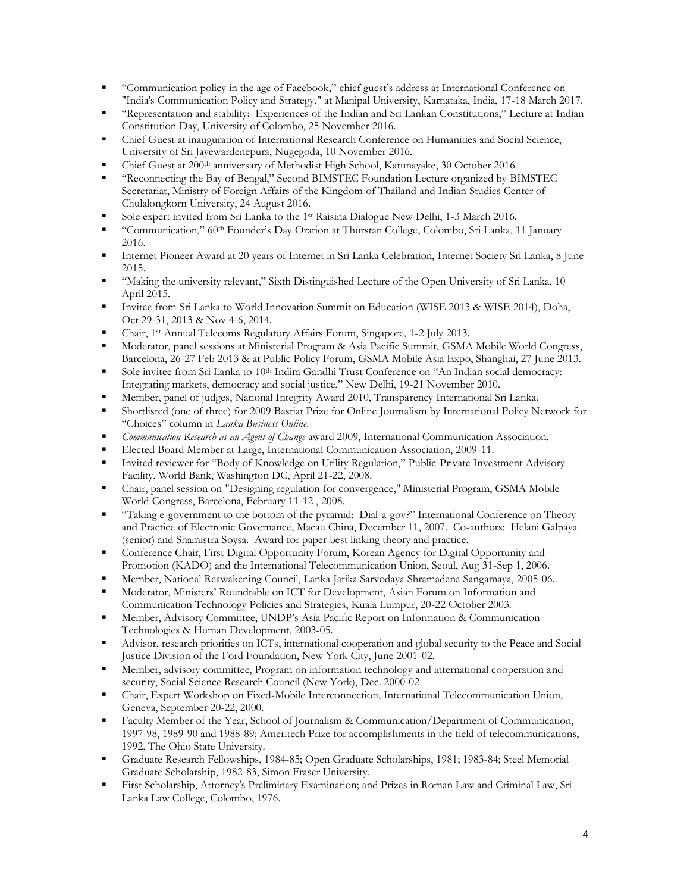- "Communication policy in the age of Facebook," chief guest's address at International Conference on "India's Communication Policy and Strategy," at Manipal University, Karnataka, India, 17-18 March 2017.
- "Representation and stability: Experiences of the Indian and Sri Lankan Constitutions," Lecture at Indian Constitution Day, University of Colombo, 25 November 2016.
- **Chief Guest at inauguration of International Research Conference on Humanities and Social Science,** University of Sri Jayewardenepura, Nugegoda, 10 November 2016.
- Chief Guest at 200<sup>th</sup> anniversary of Methodist High School, Katunayake, 30 October 2016.
- "Reconnecting the Bay of Bengal," Second BIMSTEC Foundation Lecture organized by BIMSTEC Secretariat, Ministry of Foreign Affairs of the Kingdom of Thailand and Indian Studies Center of Chulalongkorn University, 24 August 2016.
- Sole expert invited from Sri Lanka to the 1<sup>st</sup> Raisina Dialogue New Delhi, 1-3 March 2016.
- "Communication," 60th Founder's Day Oration at Thurstan College, Colombo, Sri Lanka, 11 January 2016.
- Internet Pioneer Award at 20 years of Internet in Sri Lanka Celebration, Internet Society Sri Lanka, 8 June 2015.
- "Making the university relevant," Sixth Distinguished Lecture of the Open University of Sri Lanka, 10 April 2015.
- Invitee from Sri Lanka to World Innovation Summit on Education (WISE 2013 & WISE 2014), Doha, Oct 29-31, 2013 & Nov 4-6, 2014.
- Chair, 1st Annual Telecoms Regulatory Affairs Forum, Singapore, 1-2 July 2013.
- Moderator, panel sessions at Ministerial Program & Asia Pacific Summit, GSMA Mobile World Congress, Barcelona, 26-27 Feb 2013 & at Public Policy Forum, GSMA Mobile Asia Expo, Shanghai, 27 June 2013.
- Sole invitee from Sri Lanka to 10<sup>th</sup> Indira Gandhi Trust Conference on "An Indian social democracy: Integrating markets, democracy and social justice," New Delhi, 19-21 November 2010.
- Member, panel of judges, National Integrity Award 2010, Transparency International Sri Lanka.
- Shortlisted (one of three) for 2009 Bastiat Prize for Online Journalism by International Policy Network for "Choices" column in *Lanka Business Online*.
- *Communication Research as an Agent of Change* award 2009, International Communication Association.
- Elected Board Member at Large, International Communication Association, 2009-11.
- Invited reviewer for "Body of Knowledge on Utility Regulation," Public-Private Investment Advisory Facility, World Bank, Washington DC, April 21-22, 2008.
- Chair, panel session on "Designing regulation for convergence," Ministerial Program, GSMA Mobile World Congress, Barcelona, February 11-12 , 2008.
- "Taking e-government to the bottom of the pyramid: Dial-a-gov?" International Conference on Theory and Practice of Electronic Governance, Macau China, December 11, 2007. Co-authors: Helani Galpaya (senior) and Shamistra Soysa. Award for paper best linking theory and practice.
- Conference Chair, First Digital Opportunity Forum, Korean Agency for Digital Opportunity and Promotion (KADO) and the International Telecommunication Union, Seoul, Aug 31-Sep 1, 2006.
- Member, National Reawakening Council, Lanka Jatika Sarvodaya Shramadana Sangamaya, 2005-06.
- Moderator, Ministers' Roundtable on ICT for Development, Asian Forum on Information and Communication Technology Policies and Strategies, Kuala Lumpur, 20-22 October 2003.
- **EXECUTE:** Member, Advisory Committee, UNDP's Asia Pacific Report on Information & Communication Technologies & Human Development, 2003-05.
- Advisor, research priorities on ICTs, international cooperation and global security to the Peace and Social Justice Division of the Ford Foundation, New York City, June 2001-02.
- **EXECUTE:** Member, advisory committee, Program on information technology and international cooperation and security, Social Science Research Council (New York), Dec. 2000-02.
- Chair, Expert Workshop on Fixed-Mobile Interconnection, International Telecommunication Union, Geneva, September 20-22, 2000.
- Faculty Member of the Year, School of Journalism & Communication/Department of Communication, 1997-98, 1989-90 and 1988-89; Ameritech Prize for accomplishments in the field of telecommunications, 1992, The Ohio State University.
- Graduate Research Fellowships, 1984-85; Open Graduate Scholarships, 1981; 1983-84; Steel Memorial Graduate Scholarship, 1982-83, Simon Fraser University.
- First Scholarship, Attorney's Preliminary Examination; and Prizes in Roman Law and Criminal Law, Sri Lanka Law College, Colombo, 1976.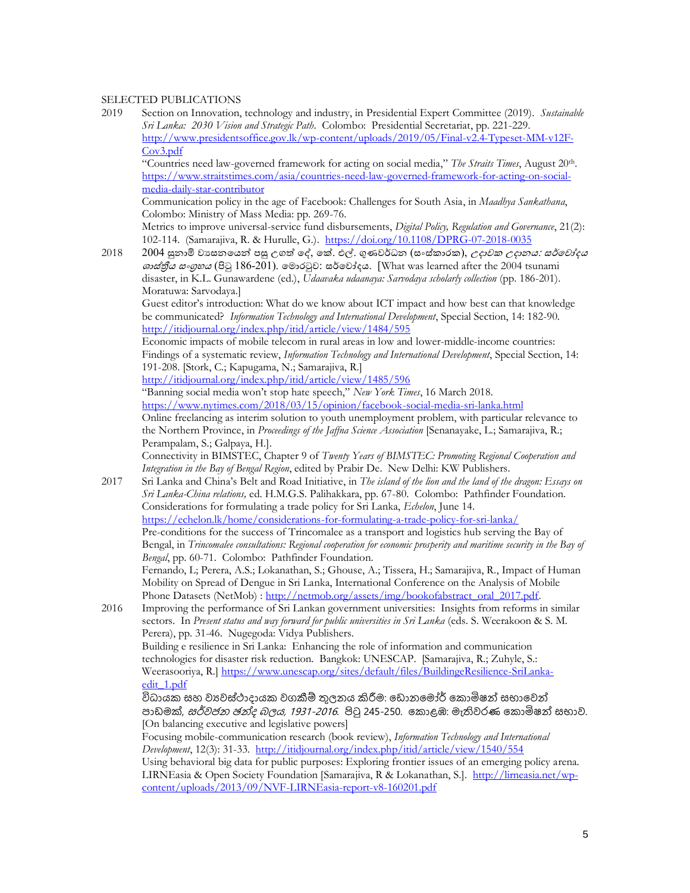### SELECTED PUBLICATIONS

2019 Section on Innovation, technology and industry, in Presidential Expert Committee (2019). *Sustainable Sri Lanka: 2030 Vision and Strategic Path*. Colombo: Presidential Secretariat, pp. 221-229. [http://www.presidentsoffice.gov.lk/wp-content/uploads/2019/05/Final-v2.4-Typeset-MM-v12F-](http://www.presidentsoffice.gov.lk/wp-content/uploads/2019/05/Final-v2.4-Typeset-MM-v12F-Cov3.pdf)[Cov3.pdf](http://www.presidentsoffice.gov.lk/wp-content/uploads/2019/05/Final-v2.4-Typeset-MM-v12F-Cov3.pdf)

"Countries need law-governed framework for acting on social media," *The Straits Times*, August 20th . [https://www.straitstimes.com/asia/countries-need-law-governed-framework-for-acting-on-social](https://www.straitstimes.com/asia/countries-need-law-governed-framework-for-acting-on-social-media-daily-star-contributor)[media-daily-star-contributor](https://www.straitstimes.com/asia/countries-need-law-governed-framework-for-acting-on-social-media-daily-star-contributor)

Communication policy in the age of Facebook: Challenges for South Asia, in *Maadhya Sankathana*, Colombo: Ministry of Mass Media: pp. 269-76.

Metrics to improve universal-service fund disbursements, *Digital Policy, Regulation and Governance*, 21(2): 102-114. (Samarajiva, R. & Hurulle, G.).<https://doi.org/10.1108/DPRG-07-2018-0035>

2018 2004 සුනාමි වාසනයෙන් පසු උගත් දේ, කේ. එල්. ගුණවර්ධන (සංස්කාරක), *උදාවක උදානය: සර්වෝදය* ශාස්තීය සංගුහය (පිටු 186-201). මොරටුව: සර්වෝදය. [What was learned after the 2004 tsunami disaster, in K.L. Gunawardene (ed.), *Udaavaka udaanaya: Sarvodaya scholarly collection* (pp. 186-201). Moratuwa: Sarvodaya.]

Guest editor's introduction: What do we know about ICT impact and how best can that knowledge be communicated? *Information Technology and International Development*, Special Section, 14: 182-90. <http://itidjournal.org/index.php/itid/article/view/1484/595>

Economic impacts of mobile telecom in rural areas in low and lower-middle-income countries: Findings of a systematic review, *Information Technology and International Development*, Special Section, 14: 191-208. [Stork, C.; Kapugama, N.; Samarajiva, R.]

<http://itidjournal.org/index.php/itid/article/view/1485/596>

"Banning social media won't stop hate speech," *New York Times*, 16 March 2018. <https://www.nytimes.com/2018/03/15/opinion/facebook-social-media-sri-lanka.html> Online freelancing as interim solution to youth unemployment problem, with particular relevance to the Northern Province, in *Proceedings of the Jaffna Science Association* [Senanayake, L.; Samarajiva, R.; Perampalam, S.; Galpaya, H.].

Connectivity in BIMSTEC, Chapter 9 of *Twenty Years of BIMSTEC: Promoting Regional Cooperation and Integration in the Bay of Bengal Region*, edited by Prabir De. New Delhi: KW Publishers.

2017 Sri Lanka and China's Belt and Road Initiative, in *The island of the lion and the land of the dragon: Essays on Sri Lanka-China relations,* ed. H.M.G.S. Palihakkara, pp. 67-80. Colombo: Pathfinder Foundation. Considerations for formulating a trade policy for Sri Lanka, *Echelon*, June 14. <https://echelon.lk/home/considerations-for-formulating-a-trade-policy-for-sri-lanka/> Pre-conditions for the success of Trincomalee as a transport and logistics hub serving the Bay of Bengal, in *Trincomalee consultations: Regional cooperation for economic prosperity and maritime security in the Bay of Bengal*, pp. 60-71. Colombo: Pathfinder Foundation. Fernando, L; Perera, A.S.; Lokanathan, S.; Ghouse, A.; Tissera, H.; Samarajiva, R., Impact of Human Mobility on Spread of Dengue in Sri Lanka, International Conference on the Analysis of Mobile Phone Datasets (NetMob) [: http://netmob.org/assets/img/bookofabstract\\_oral\\_2017.pdf.](http://netmob.org/assets/img/bookofabstract_oral_2017.pdf) 2016 Improving the performance of Sri Lankan government universities: Insights from reforms in similar sectors. In *Present status and way forward for public universities in Sri Lanka* (eds. S. Weerakoon & S. M. Perera), pp. 31-46. Nugegoda: Vidya Publishers. Building e resilience in Sri Lanka: Enhancing the role of information and communication technologies for disaster risk reduction. Bangkok: UNESCAP. [Samarajiva, R.; Zuhyle, S.: Weerasooriya, R.] [https://www.unescap.org/sites/default/files/BuildingeResilience-SriLanka](https://www.unescap.org/sites/default/files/BuildingeResilience-SriLanka-edit_1.pdf)[edit\\_1.pdf](https://www.unescap.org/sites/default/files/BuildingeResilience-SriLanka-edit_1.pdf) විධායක සහ වාූවස්ථාදායක වගකීම් තුලනය කිරීම: ඩොනමෝර් කොමිෂන් සභාවෙන් පාඩමක්, *සර්වජන ඡන්ද බලය, 1931-2016.* පිටු 245-250. කොළඹ: මැතිවරණ කොමිෂන් සභාව. [On balancing executive and legislative powers]

Focusing mobile-communication research (book review), *Information Technology and International Development*, 12(3): 31-33.<http://itidjournal.org/index.php/itid/article/view/1540/554>

Using behavioral big data for public purposes: Exploring frontier issues of an emerging policy arena. LIRNEasia & Open Society Foundation [Samarajiva, R & Lokanathan, S.]. [http://lirneasia.net/wp](http://lirneasia.net/wp-content/uploads/2013/09/NVF-LIRNEasia-report-v8-160201.pdf)[content/uploads/2013/09/NVF-LIRNEasia-report-v8-160201.pdf](http://lirneasia.net/wp-content/uploads/2013/09/NVF-LIRNEasia-report-v8-160201.pdf)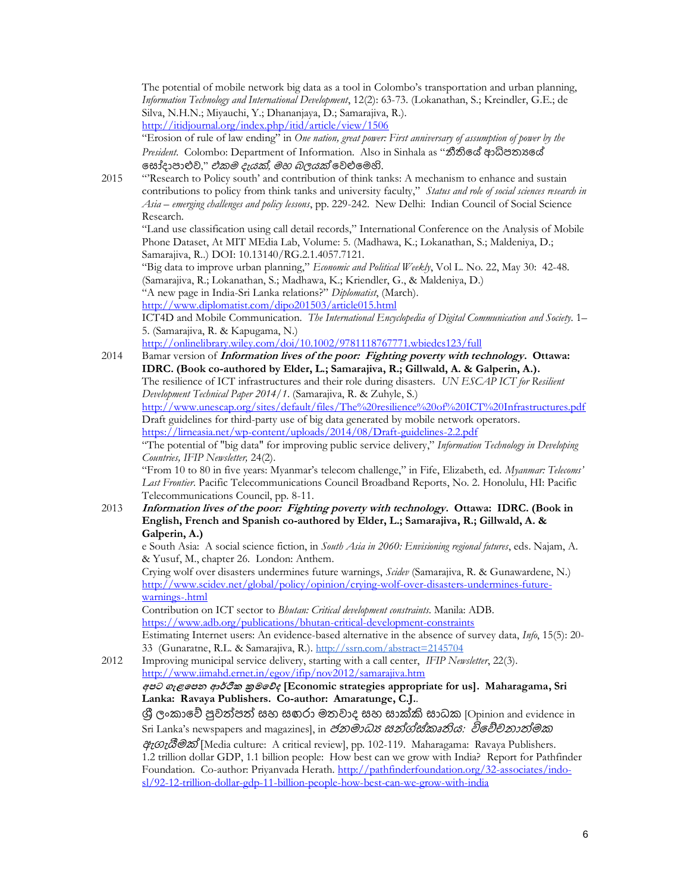The potential of mobile network big data as a tool in Colombo's transportation and urban planning, *Information Technology and International Development*, 12(2): 63-73. (Lokanathan, S.; Kreindler, G.E.; de Silva, N.H.N.; Miyauchi, Y.; Dhananjaya, D.; Samarajiva, R.). <http://itidjournal.org/index.php/itid/article/view/1506>

"Erosion of rule of law ending" in *One nation, great power: First anniversary of assumption of power by the President.* Colombo: Department of Information. Also in Sinhala as "නීතියේ ආධිපතාගේ සෝදාපාළුව," *එකම දැයක්, මහ බලයක්* වෙළුමෙහි.

2015 "'Research to Policy south' and contribution of think tanks: A mechanism to enhance and sustain contributions to policy from think tanks and university faculty," *Status and role of social sciences research in Asia – emerging challenges and policy lessons*, pp. 229-242. New Delhi: Indian Council of Social Science Research.

"Land use classification using call detail records," International Conference on the Analysis of Mobile Phone Dataset, At MIT MEdia Lab, Volume: 5. (Madhawa, K.; Lokanathan, S.; Maldeniya, D.; Samarajiva, R..) DOI: 10.13140/RG.2.1.4057.7121.

"Big data to improve urban planning," *Economic and Political Weekly*, Vol L. No. 22, May 30: 42-48. (Samarajiva, R.; Lokanathan, S.; Madhawa, K.; Kriendler, G., & Maldeniya, D.)

"A new page in India-Sri Lanka relations?" *Diplomatist*, (March).

<http://www.diplomatist.com/dipo201503/article015.html>

ICT4D and Mobile Communication. *The International Encyclopedia of Digital Communication and Society*. 1– 5. (Samarajiva, R. & Kapugama, N.)

<http://onlinelibrary.wiley.com/doi/10.1002/9781118767771.wbiedcs123/full>

2014 Bamar version of **Information lives of the poor: Fighting poverty with technology. Ottawa: IDRC. (Book co-authored by Elder, L.; Samarajiva, R.; Gillwald, A. & Galperin, A.).** The resilience of ICT infrastructures and their role during disasters. *UN ESCAP ICT for Resilient Development Technical Paper 2014/1*. (Samarajiva, R. & Zuhyle, S.) <http://www.unescap.org/sites/default/files/The%20resilience%20of%20ICT%20Infrastructures.pdf> Draft guidelines for third-party use of big data generated by mobile network operators.

<https://lirneasia.net/wp-content/uploads/2014/08/Draft-guidelines-2.2.pdf>

"The potential of "big data" for improving public service delivery," *Information Technology in Developing Countries, IFIP Newsletter,* 24(2).

"From 10 to 80 in five years: Myanmar's telecom challenge," in Fife, Elizabeth, ed. *Myanmar: Telecoms' Last Frontier*. Pacific Telecommunications Council Broadband Reports, No. 2. Honolulu, HI: Pacific Telecommunications Council, pp. 8-11.

### 2013 **Information lives of the poor: Fighting poverty with technology. Ottawa: IDRC. (Book in English, French and Spanish co-authored by Elder, L.; Samarajiva, R.; Gillwald, A. & Galperin, A.)**

e South Asia: A social science fiction, in *South Asia in 2060: Envisioning regional futures*, eds. Najam, A. & Yusuf, M., chapter 26. London: Anthem.

Crying wolf over disasters undermines future warnings, *Scidev* (Samarajiva, R. & Gunawardene, N.) [http://www.scidev.net/global/policy/opinion/crying-wolf-over-disasters-undermines-future](http://www.scidev.net/global/policy/opinion/crying-wolf-over-disasters-undermines-future-warnings-.html)[warnings-.html](http://www.scidev.net/global/policy/opinion/crying-wolf-over-disasters-undermines-future-warnings-.html)

Contribution on ICT sector to *Bhutan: Critical development constraints*. Manila: ADB. <https://www.adb.org/publications/bhutan-critical-development-constraints> Estimating Internet users: An evidence-based alternative in the absence of survey data, *Info*, 15(5): 20-

33 (Gunaratne, R.L. & Samarajiva, R.). [http://ssrn.com/abstract=2145704](http://hq.ssrn.com/GroupProcesses/RedirectClick.cfm?partid=1424510&corid=649&runid=14188&url=http://ssrn.com/abstract=2145704)

2012 Improving municipal service delivery, starting with a call center, *IFIP Newsletter*, 22(3). <http://www.iimahd.ernet.in/egov/ifip/nov2012/samarajiva.htm>

**අපට ගැළපපන ආර්ථික ක්රමපේද [Economic strategies appropriate for us]. Maharagama, Sri Lanka: Ravaya Publishers. Co-author: Amaratunge, C.J.**.

ශී ලංකාවේ පුවත්පත් සහ සඟරා මතවාද සහ සාක්කි සාධක [Opinion and evidence in Sri Lanka's newspapers and magazines], in *ජනමාධා සන්ග්ස්කෘතිය: විවේචනාත්මක* ඇගැයීමක් [Media culture: A critical review], pp. 102-119. Maharagama: Ravaya Publishers. 1.2 trillion dollar GDP, 1.1 billion people: How best can we grow with India? Report for Pathfinder Foundation. Co-author: Priyanvada Herath. [http://pathfinderfoundation.org/32-associates/indo](http://pathfinderfoundation.org/32-associates/indo-sl/92-12-trillion-dollar-gdp-11-billion-people-how-best-can-we-grow-with-india)[sl/92-12-trillion-dollar-gdp-11-billion-people-how-best-can-we-grow-with-india](http://pathfinderfoundation.org/32-associates/indo-sl/92-12-trillion-dollar-gdp-11-billion-people-how-best-can-we-grow-with-india)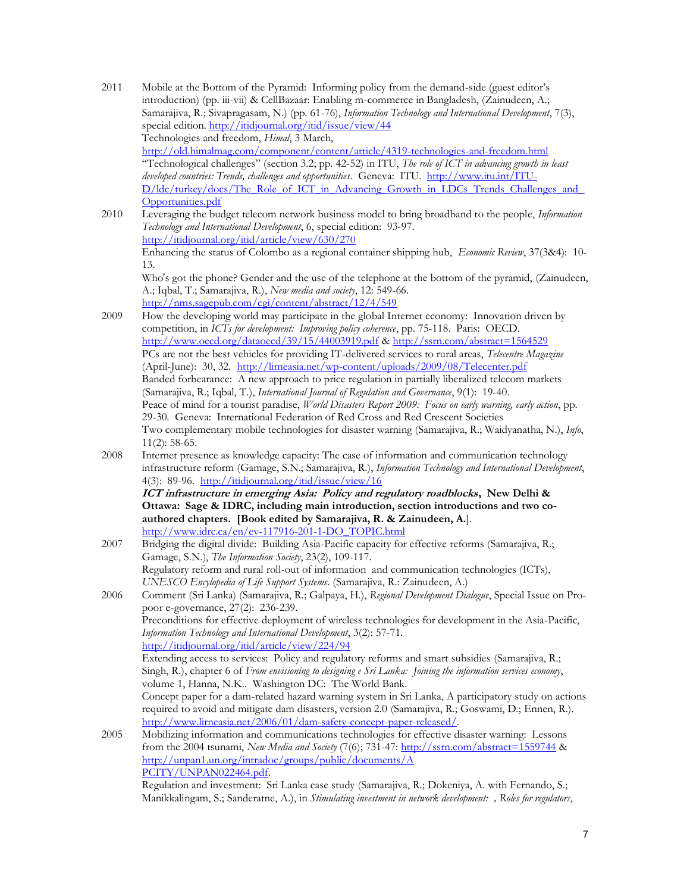| 2011 | Mobile at the Bottom of the Pyramid: Informing policy from the demand-side (guest editor's<br>introduction) (pp. iii-vii) & CellBazaar: Enabling m-commerce in Bangladesh, (Zainudeen, A.;<br>Samarajiva, R.; Sivapragasam, N.) (pp. 61-76), Information Technology and International Development, 7(3),                                                                                   |
|------|--------------------------------------------------------------------------------------------------------------------------------------------------------------------------------------------------------------------------------------------------------------------------------------------------------------------------------------------------------------------------------------------|
|      | special edition. http://itidjournal.org/itid/issue/view/44                                                                                                                                                                                                                                                                                                                                 |
|      | Technologies and freedom, Himal, 3 March,                                                                                                                                                                                                                                                                                                                                                  |
|      | http://old.himalmag.com/component/content/article/4319-technologies-and-freedom.html<br>"Technological challenges" (section 3.2; pp. 42-52) in ITU, The role of ICT in advancing growth in least<br>developed countries: Trends, challenges and opportunities. Geneva: ITU. http://www.itu.int/ITU-<br>D/ldc/turkey/docs/The Role of ICT in Advancing Growth in LDCs Trends Challenges and |
|      | Opportunities.pdf                                                                                                                                                                                                                                                                                                                                                                          |
| 2010 | Leveraging the budget telecom network business model to bring broadband to the people, Information<br>Technology and International Development, 6, special edition: 93-97.<br>http://itidjournal.org/itid/article/view/630/270                                                                                                                                                             |
|      | Enhancing the status of Colombo as a regional container shipping hub, Economic Review, 37(3&4): 10-<br>13.                                                                                                                                                                                                                                                                                 |
|      | Who's got the phone? Gender and the use of the telephone at the bottom of the pyramid, (Zainudeen,<br>A.; Iqbal, T.; Samarajiva, R.), New media and society, 12: 549-66.                                                                                                                                                                                                                   |
| 2009 | http://nms.sagepub.com/cgi/content/abstract/12/4/549<br>How the developing world may participate in the global Internet economy: Innovation driven by                                                                                                                                                                                                                                      |
|      | competition, in ICTs for development: Improving policy coherence, pp. 75-118. Paris: OECD.                                                                                                                                                                                                                                                                                                 |
|      | http://www.oecd.org/dataoecd/39/15/44003919.pdf & http://ssrn.com/abstract=1564529                                                                                                                                                                                                                                                                                                         |
|      | PCs are not the best vehicles for providing IT-delivered services to rural areas, Telecentre Magazine                                                                                                                                                                                                                                                                                      |
|      | (April-June): 30, 32. http://lirneasia.net/wp-content/uploads/2009/08/Telecenter.pdf                                                                                                                                                                                                                                                                                                       |
|      | Banded forbearance: A new approach to price regulation in partially liberalized telecom markets                                                                                                                                                                                                                                                                                            |
|      | (Samarajiva, R.; Iqbal, T.), International Journal of Regulation and Governance, 9(1): 19-40.                                                                                                                                                                                                                                                                                              |
|      | Peace of mind for a tourist paradise, World Disasters Report 2009: Focus on early warning, early action, pp.                                                                                                                                                                                                                                                                               |
|      | 29-30. Geneva: International Federation of Red Cross and Red Crescent Societies                                                                                                                                                                                                                                                                                                            |
|      | Two complementary mobile technologies for disaster warning (Samarajiva, R.; Waidyanatha, N.), Info,<br>$11(2): 58-65.$                                                                                                                                                                                                                                                                     |
| 2008 | Internet presence as knowledge capacity: The case of information and communication technology<br>infrastructure reform (Gamage, S.N.; Samarajiva, R.), Information Technology and International Development,<br>4(3): 89-96. http://itidjournal.org/itid/issue/view/16                                                                                                                     |
|      | ICT infrastructure in emerging Asia: Policy and regulatory roadblocks, New Delhi &                                                                                                                                                                                                                                                                                                         |
|      | Ottawa: Sage & IDRC, including main introduction, section introductions and two co-                                                                                                                                                                                                                                                                                                        |
|      | authored chapters. [Book edited by Samarajiva, R. & Zainudeen, A.].                                                                                                                                                                                                                                                                                                                        |
|      | http://www.idrc.ca/en/ev-117916-201-1-DO TOPIC.html<br>Bridging the digital divide: Building Asia-Pacific capacity for effective reforms (Samarajiva, R.;                                                                                                                                                                                                                                  |
| 2007 | Gamage, S.N.), The Information Society, 23(2), 109-117.                                                                                                                                                                                                                                                                                                                                    |
|      | Regulatory reform and rural roll-out of information and communication technologies (ICTs),                                                                                                                                                                                                                                                                                                 |
|      | UNESCO Encylopedia of Life Support Systems. (Samarajiva, R.: Zainudeen, A.)                                                                                                                                                                                                                                                                                                                |
| 2006 | Comment (Sri Lanka) (Samarajiva, R.; Galpaya, H.), Regional Development Dialogue, Special Issue on Pro-<br>poor e-governance, 27(2): 236-239.                                                                                                                                                                                                                                              |
|      | Preconditions for effective deployment of wireless technologies for development in the Asia-Pacific,                                                                                                                                                                                                                                                                                       |
|      | Information Technology and International Development, 3(2): 57-71.<br>http://itidjournal.org/itid/article/view/224/94                                                                                                                                                                                                                                                                      |
|      | Extending access to services: Policy and regulatory reforms and smart subsidies (Samarajiva, R.;                                                                                                                                                                                                                                                                                           |
|      | Singh, R.), chapter 6 of From envisioning to designing e Sri Lanka: Joining the information services economy,                                                                                                                                                                                                                                                                              |
|      | volume 1, Hanna, N.K Washington DC: The World Bank.                                                                                                                                                                                                                                                                                                                                        |
|      | Concept paper for a dam-related hazard warning system in Sri Lanka, A participatory study on actions                                                                                                                                                                                                                                                                                       |
|      | required to avoid and mitigate dam disasters, version 2.0 (Samarajiva, R.; Goswami, D.; Ennen, R.).<br>http://www.lirneasia.net/2006/01/dam-safety-concept-paper-released/.                                                                                                                                                                                                                |
| 2005 | Mobilizing information and communications technologies for effective disaster warning: Lessons                                                                                                                                                                                                                                                                                             |
|      | from the 2004 tsunami, New Media and Society (7(6); 731-47: $\frac{http://ssrn.com/abstract=1559744}{http://ssrn.com/abstract=1559744}$ &                                                                                                                                                                                                                                                  |
|      | http://unpan1.un.org/intradoc/groups/public/documents/A                                                                                                                                                                                                                                                                                                                                    |
|      | PCITY/UNPAN022464.pdf.                                                                                                                                                                                                                                                                                                                                                                     |
|      | Regulation and investment: Sri Lanka case study (Samarajiva, R.; Dokeniya, A. with Fernando, S.;                                                                                                                                                                                                                                                                                           |

Manikkalingam, S.; Sanderatne, A.), in *Stimulating investment in network development: , Roles for regulators*,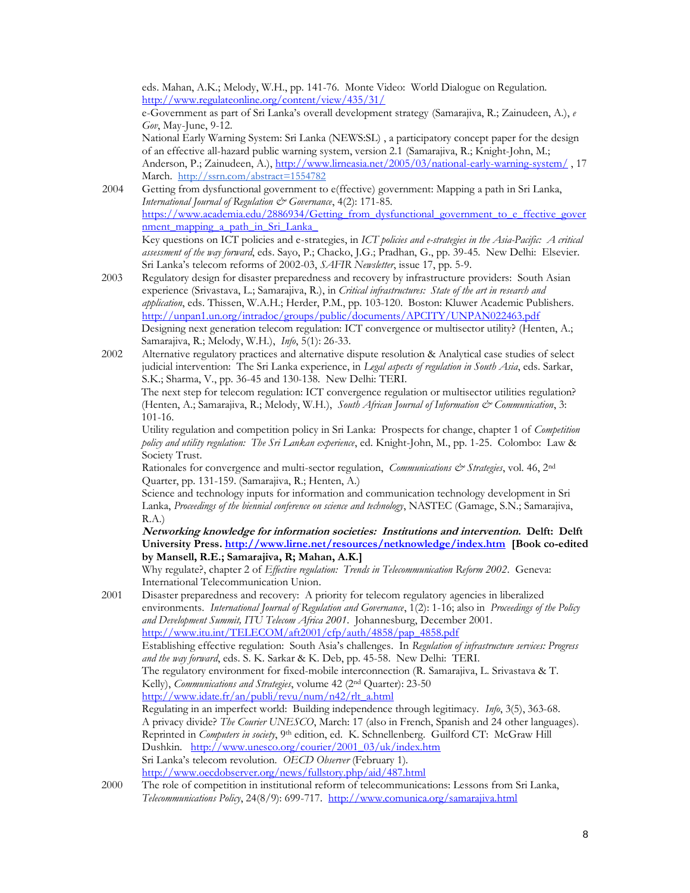eds. Mahan, A.K.; Melody, W.H., pp. 141-76. Monte Video: World Dialogue on Regulation. <http://www.regulateonline.org/content/view/435/31/>

e-Government as part of Sri Lanka's overall development strategy (Samarajiva, R.; Zainudeen, A.), *e Gov*, May-June, 9-12.

National Early Warning System: Sri Lanka (NEWS:SL) , a participatory concept paper for the design of an effective all-hazard public warning system, version 2.1 (Samarajiva, R.; Knight-John, M.; Anderson, P.; Zainudeen, A.),<http://www.lirneasia.net/2005/03/national-early-warning-system/> , 17 March. [http://ssrn.com/abstract=1554782](http://hq.ssrn.com/GroupProcesses/RedirectClick.cfm?partid=1424510&corid=649&runid=14188&url=http://ssrn.com/abstract=1554782)

- 2004 Getting from dysfunctional government to e(ffective) government: Mapping a path in Sri Lanka, *International Journal of Regulation & Governance*, 4(2): 171-85. [https://www.academia.edu/2886934/Getting\\_from\\_dysfunctional\\_government\\_to\\_e\\_ffective\\_gover](https://www.academia.edu/2886934/Getting_from_dysfunctional_government_to_e_ffective_government_mapping_a_path_in_Sri_Lanka_) nment mapping a path in Sri Lanka Key questions on ICT policies and e-strategies, in *ICT policies and e-strategies in the Asia-Pacific: A critical assessment of the way forward*, eds. Sayo, P.; Chacko, J.G.; Pradhan, G., pp. 39-45. New Delhi: Elsevier. Sri Lanka's telecom reforms of 2002-03, *SAFIR Newsletter*, issue 17, pp. 5-9.
- 2003 Regulatory design for disaster preparedness and recovery by infrastructure providers: South Asian experience (Srivastava, L.; Samarajiva, R.), in *Critical infrastructures: State of the art in research and application*, eds. Thissen, W.A.H.; Herder, P.M., pp. 103-120. Boston: Kluwer Academic Publishers. <http://unpan1.un.org/intradoc/groups/public/documents/APCITY/UNPAN022463.pdf> Designing next generation telecom regulation: ICT convergence or multisector utility? (Henten, A.; Samarajiva, R.; Melody, W.H.), *Info*, 5(1): 26-33.
- 2002 Alternative regulatory practices and alternative dispute resolution & Analytical case studies of select judicial intervention: The Sri Lanka experience, in *Legal aspects of regulation in South Asia*, eds. Sarkar, S.K.; Sharma, V., pp. 36-45 and 130-138. New Delhi: TERI.

The next step for telecom regulation: ICT convergence regulation or multisector utilities regulation? (Henten, A.; Samarajiva, R.; Melody, W.H.), *South African Journal of Information & Communication*, 3: 101-16.

Utility regulation and competition policy in Sri Lanka: Prospects for change, chapter 1 of *Competition policy and utility regulation: The Sri Lankan experience*, ed. Knight-John, M., pp. 1-25. Colombo: Law & Society Trust.

Rationales for convergence and multi-sector regulation, *Communications & Strategies*, vol. 46, 2<sup>nd</sup> Quarter, pp. 131-159. (Samarajiva, R.; Henten, A.)

Science and technology inputs for information and communication technology development in Sri Lanka, *Proceedings of the biennial conference on science and technology*, NASTEC (Gamage, S.N.; Samarajiva, R.A.)

**Networking knowledge for information societies: Institutions and intervention. Delft: Delft University Press[. http://www.lirne.net/resources/netknowledge/index.htm](http://www.lirne.net/resources/netknowledge/index.htm) [Book co-edited by Mansell, R.E.; Samarajiva, R; Mahan, A.K.]**

Why regulate?, chapter 2 of *Effective regulation: Trends in Telecommunication Reform 2002*. Geneva: International Telecommunication Union.

- 2001 Disaster preparedness and recovery: A priority for telecom regulatory agencies in liberalized environments. *International Journal of Regulation and Governance*, 1(2): 1-16; also in *Proceedings of the Policy and Development Summit, ITU Telecom Africa 2001*. Johannesburg, December 2001. [http://www.itu.int/TELECOM/aft2001/cfp/auth/4858/pap\\_4858.pdf](http://www.itu.int/TELECOM/aft2001/cfp/auth/4858/pap_4858.pdf) Establishing effective regulation: South Asia's challenges. In *Regulation of infrastructure services: Progress and the way forward*, eds. S. K. Sarkar & K. Deb, pp. 45-58. New Delhi: TERI. The regulatory environment for fixed-mobile interconnection (R. Samarajiva, L. Srivastava & T. Kelly), *Communications and Strategies*, volume 42 (2nd Quarter): 23-50 [http://www.idate.fr/an/publi/revu/num/n42/rlt\\_a.html](http://www.idate.fr/an/publi/revu/num/n42/rlt_a.html) Regulating in an imperfect world: Building independence through legitimacy. *Info*, 3(5), 363-68. A privacy divide? *The Courier UNESCO*, March: 17 (also in French, Spanish and 24 other languages). Reprinted in *Computers in society*, 9th edition, ed. K. Schnellenberg. Guilford CT: McGraw Hill Dushkin. [http://www.unesco.org/courier/2001\\_03/uk/index.htm](http://www.unesco.org/courier/2001_03/uk/index.htm) Sri Lanka's telecom revolution. *OECD Observer* (February 1). <http://www.oecdobserver.org/news/fullstory.php/aid/487.html>
- 2000 The role of competition in institutional reform of telecommunications: Lessons from Sri Lanka, *Telecommunications Policy*, 24(8/9): 699-717. <http://www.comunica.org/samarajiva.html>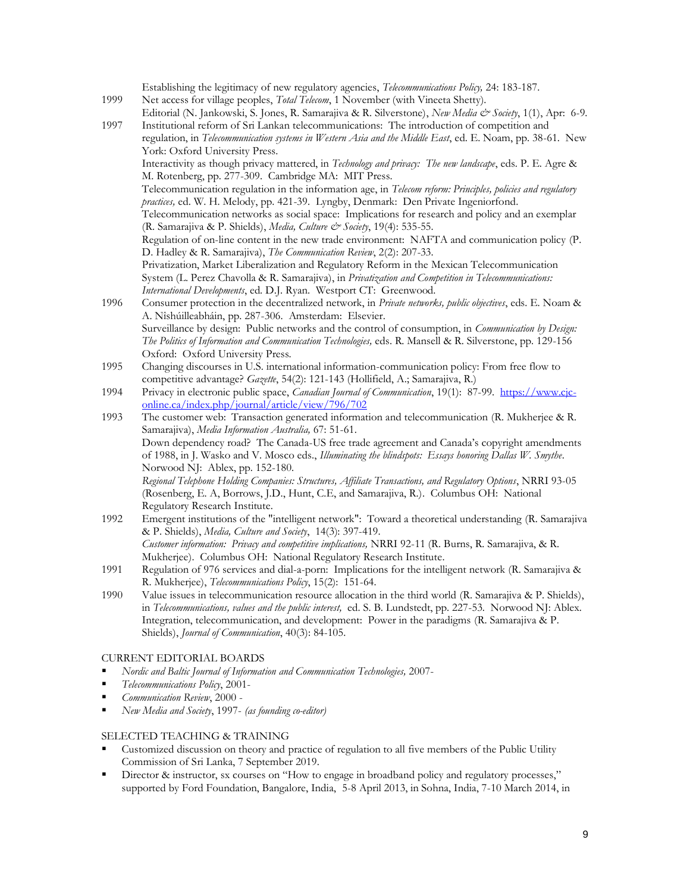| 1999                    | Establishing the legitimacy of new regulatory agencies, Telecommunications Policy, 24: 183-187.<br>Net access for village peoples, Total Telecom, 1 November (with Vineeta Shetty).<br>Editorial (N. Jankowski, S. Jones, R. Samarajiva & R. Silverstone), New Media & Society, 1(1), Apr. 6-9.                                                                           |  |
|-------------------------|---------------------------------------------------------------------------------------------------------------------------------------------------------------------------------------------------------------------------------------------------------------------------------------------------------------------------------------------------------------------------|--|
| 1997                    | Institutional reform of Sri Lankan telecommunications: The introduction of competition and<br>regulation, in Telecommunication systems in Western Asia and the Middle East, ed. E. Noam, pp. 38-61. New<br>York: Oxford University Press.                                                                                                                                 |  |
|                         | Interactivity as though privacy mattered, in Technology and privacy: The new landscape, eds. P. E. Agre &<br>M. Rotenberg, pp. 277-309. Cambridge MA: MIT Press.                                                                                                                                                                                                          |  |
|                         | Telecommunication regulation in the information age, in Telecom reform: Principles, policies and regulatory<br>practices, ed. W. H. Melody, pp. 421-39. Lyngby, Denmark: Den Private Ingeniorfond.                                                                                                                                                                        |  |
|                         | Telecommunication networks as social space: Implications for research and policy and an exemplar<br>(R. Samarajiva & P. Shields), Media, Culture & Society, 19(4): 535-55.                                                                                                                                                                                                |  |
|                         | Regulation of on-line content in the new trade environment: NAFTA and communication policy (P.<br>D. Hadley & R. Samarajiva), The Communication Review, 2(2): 207-33.                                                                                                                                                                                                     |  |
|                         | Privatization, Market Liberalization and Regulatory Reform in the Mexican Telecommunication<br>System (L. Perez Chavolla & R. Samarajiva), in Privatization and Competition in Telecommunications:<br>International Developments, ed. D.J. Ryan. Westport CT: Greenwood.                                                                                                  |  |
| 1996                    | Consumer protection in the decentralized network, in Private networks, public objectives, eds. E. Noam &<br>A. Nîshúilleabháin, pp. 287-306. Amsterdam: Elsevier.                                                                                                                                                                                                         |  |
|                         | Surveillance by design: Public networks and the control of consumption, in <i>Communication by Design</i> :<br>The Politics of Information and Communication Technologies, eds. R. Mansell & R. Silverstone, pp. 129-156<br>Oxford: Oxford University Press.                                                                                                              |  |
| 1995                    | Changing discourses in U.S. international information-communication policy: From free flow to<br>competitive advantage? Gazette, 54(2): 121-143 (Hollifield, A.; Samarajiva, R.)                                                                                                                                                                                          |  |
| 1994                    | Privacy in electronic public space, Canadian Journal of Communication, 19(1): 87-99. https://www.cjc-<br>online.ca/index.php/journal/article/view/796/702                                                                                                                                                                                                                 |  |
| 1993                    | The customer web: Transaction generated information and telecommunication (R. Mukherjee & R.<br>Samarajiva), Media Information Australia, 67: 51-61.                                                                                                                                                                                                                      |  |
|                         | Down dependency road? The Canada-US free trade agreement and Canada's copyright amendments<br>of 1988, in J. Wasko and V. Mosco eds., Illuminating the blindspots: Essays honoring Dallas W. Smythe.<br>Norwood NJ: Ablex, pp. 152-180.                                                                                                                                   |  |
|                         | Regional Telephone Holding Companies: Structures, Affiliate Transactions, and Regulatory Options, NRRI 93-05<br>(Rosenberg, E. A, Borrows, J.D., Hunt, C.E, and Samarajiva, R.). Columbus OH: National                                                                                                                                                                    |  |
| 1992                    | Regulatory Research Institute.<br>Emergent institutions of the "intelligent network": Toward a theoretical understanding (R. Samarajiva<br>& P. Shields), Media, Culture and Society, 14(3): 397-419.                                                                                                                                                                     |  |
|                         | Customer information: Privacy and competitive implications, NRRI 92-11 (R. Burns, R. Samarajiva, & R.<br>Mukherjee). Columbus OH: National Regulatory Research Institute.                                                                                                                                                                                                 |  |
| 1991                    | Regulation of 976 services and dial-a-porn: Implications for the intelligent network (R. Samarajiva &<br>R. Mukherjee), Telecommunications Policy, 15(2): 151-64.                                                                                                                                                                                                         |  |
| 1990                    | Value issues in telecommunication resource allocation in the third world (R. Samarajiva & P. Shields),<br>in Telecommunications, values and the public interest, ed. S. B. Lundstedt, pp. 227-53. Norwood NJ: Ablex.<br>Integration, telecommunication, and development: Power in the paradigms (R. Samarajiva & P.<br>Shields), Journal of Communication, 40(3): 84-105. |  |
|                         | <b>CURRENT EDITORIAL BOARDS</b>                                                                                                                                                                                                                                                                                                                                           |  |
| п                       | Nordic and Baltic Journal of Information and Communication Technologies, 2007-<br>Telecommunications Policy, 2001-                                                                                                                                                                                                                                                        |  |
| п<br>٠                  | Communication Review, 2000 -<br>New Media and Society, 1997- (as founding co-editor)                                                                                                                                                                                                                                                                                      |  |
| $C$ UINI $C$ a TD AINID |                                                                                                                                                                                                                                                                                                                                                                           |  |

# SELECTED TEACHING & TRAINING

- Customized discussion on theory and practice of regulation to all five members of the Public Utility Commission of Sri Lanka, 7 September 2019.
- Director & instructor, sx courses on "How to engage in broadband policy and regulatory processes," supported by Ford Foundation, Bangalore, India, 5-8 April 2013, in Sohna, India, 7-10 March 2014, in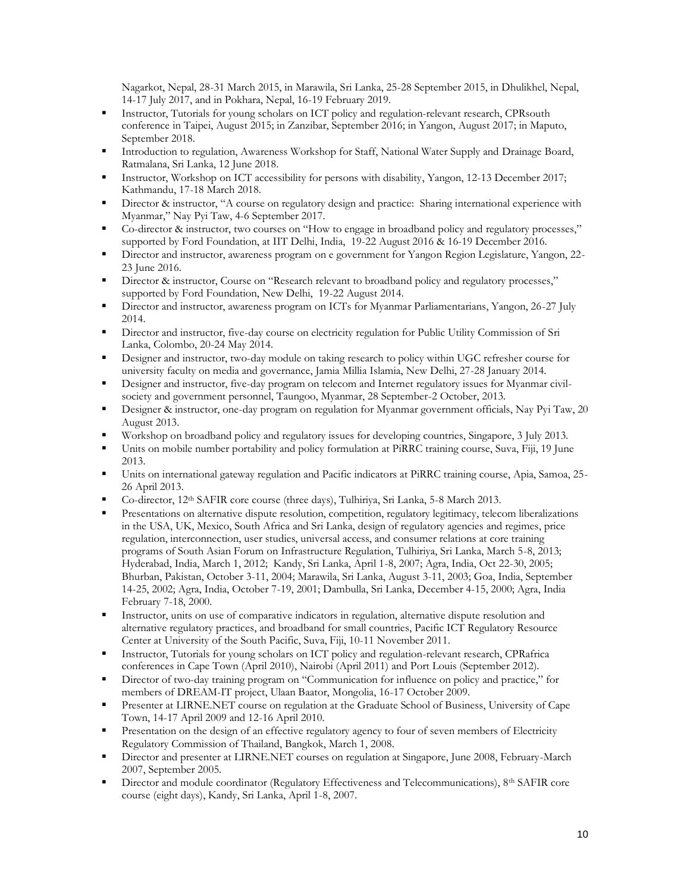Nagarkot, Nepal, 28-31 March 2015, in Marawila, Sri Lanka, 25-28 September 2015, in Dhulikhel, Nepal, 14-17 July 2017, and in Pokhara, Nepal, 16-19 February 2019.

- Instructor, Tutorials for young scholars on ICT policy and regulation-relevant research, CPRsouth conference in Taipei, August 2015; in Zanzibar, September 2016; in Yangon, August 2017; in Maputo, September 2018.
- Introduction to regulation, Awareness Workshop for Staff, National Water Supply and Drainage Board, Ratmalana, Sri Lanka, 12 June 2018.
- Instructor, Workshop on ICT accessibility for persons with disability, Yangon, 12-13 December 2017; Kathmandu, 17-18 March 2018.
- Director & instructor, "A course on regulatory design and practice: Sharing international experience with Myanmar," Nay Pyi Taw, 4-6 September 2017.
- Co-director & instructor, two courses on "How to engage in broadband policy and regulatory processes," supported by Ford Foundation, at IIT Delhi, India, 19-22 August 2016 & 16-19 December 2016.
- Director and instructor, awareness program on e government for Yangon Region Legislature, Yangon, 22- 23 June 2016.
- Director & instructor, Course on "Research relevant to broadband policy and regulatory processes," supported by Ford Foundation, New Delhi, 19-22 August 2014.
- Director and instructor, awareness program on ICTs for Myanmar Parliamentarians, Yangon, 26-27 July 2014.
- **EXECUTE:** Director and instructor, five-day course on electricity regulation for Public Utility Commission of Sri Lanka, Colombo, 20-24 May 2014.
- **•** Designer and instructor, two-day module on taking research to policy within UGC refresher course for university faculty on media and governance, Jamia Millia Islamia, New Delhi, 27-28 January 2014.
- **•** Designer and instructor, five-day program on telecom and Internet regulatory issues for Myanmar civilsociety and government personnel, Taungoo, Myanmar, 28 September-2 October, 2013.
- **EXECUTE:** Designer & instructor, one-day program on regulation for Myanmar government officials, Nay Pyi Taw, 20 August 2013.
- Workshop on broadband policy and regulatory issues for developing countries, Singapore, 3 July 2013.
- Units on mobile number portability and policy formulation at PiRRC training course, Suva, Fiji, 19 June 2013.
- Units on international gateway regulation and Pacific indicators at PiRRC training course, Apia, Samoa, 25- 26 April 2013.
- Co-director, 12<sup>th</sup> SAFIR core course (three days), Tulhiriya, Sri Lanka, 5-8 March 2013.
- Presentations on alternative dispute resolution, competition, regulatory legitimacy, telecom liberalizations in the USA, UK, Mexico, South Africa and Sri Lanka, design of regulatory agencies and regimes, price regulation, interconnection, user studies, universal access, and consumer relations at core training programs of South Asian Forum on Infrastructure Regulation, Tulhiriya, Sri Lanka, March 5-8, 2013; Hyderabad, India, March 1, 2012; Kandy, Sri Lanka, April 1-8, 2007; Agra, India, Oct 22-30, 2005; Bhurban, Pakistan, October 3-11, 2004; Marawila, Sri Lanka, August 3-11, 2003; Goa, India, September 14-25, 2002; Agra, India, October 7-19, 2001; Dambulla, Sri Lanka, December 4-15, 2000; Agra, India February 7-18, 2000.
- Instructor, units on use of comparative indicators in regulation, alternative dispute resolution and alternative regulatory practices, and broadband for small countries, Pacific ICT Regulatory Resource Center at University of the South Pacific, Suva, Fiji, 10-11 November 2011.
- Instructor, Tutorials for young scholars on ICT policy and regulation-relevant research, CPRafrica conferences in Cape Town (April 2010), Nairobi (April 2011) and Port Louis (September 2012).
- **Example 1** Director of two-day training program on "Communication for influence on policy and practice," for members of DREAM-IT project, Ulaan Baator, Mongolia, 16-17 October 2009.
- **•** Presenter at LIRNE.NET course on regulation at the Graduate School of Business, University of Cape Town, 14-17 April 2009 and 12-16 April 2010.
- Presentation on the design of an effective regulatory agency to four of seven members of Electricity Regulatory Commission of Thailand, Bangkok, March 1, 2008.
- Director and presenter at LIRNE.NET courses on regulation at Singapore, June 2008, February-March 2007, September 2005.
- Director and module coordinator (Regulatory Effectiveness and Telecommunications), 8<sup>th</sup> SAFIR core course (eight days), Kandy, Sri Lanka, April 1-8, 2007.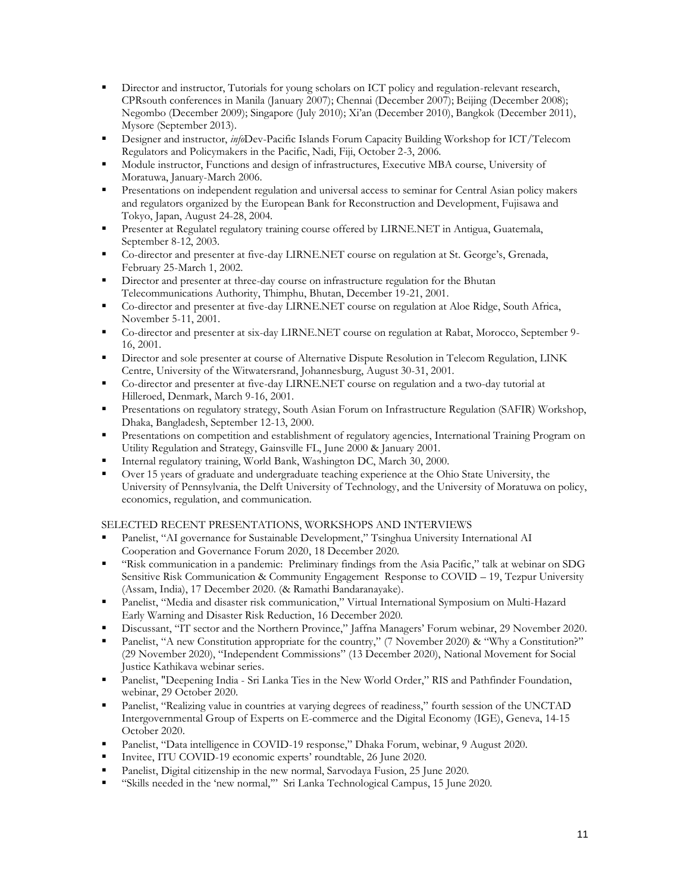- **EXECUTE:** Director and instructor, Tutorials for young scholars on ICT policy and regulation-relevant research, CPRsouth conferences in Manila (January 2007); Chennai (December 2007); Beijing (December 2008); Negombo (December 2009); Singapore (July 2010); Xi'an (December 2010), Bangkok (December 2011), Mysore (September 2013).
- Designer and instructor, *info*Dev-Pacific Islands Forum Capacity Building Workshop for ICT/Telecom Regulators and Policymakers in the Pacific, Nadi, Fiji, October 2-3, 2006.
- Module instructor, Functions and design of infrastructures, Executive MBA course, University of Moratuwa, January-March 2006.
- Presentations on independent regulation and universal access to seminar for Central Asian policy makers and regulators organized by the European Bank for Reconstruction and Development, Fujisawa and Tokyo, Japan, August 24-28, 2004.
- **•** Presenter at Regulatel regulatory training course offered by LIRNE.NET in Antigua, Guatemala, September 8-12, 2003.
- Co-director and presenter at five-day LIRNE.NET course on regulation at St. George's, Grenada, February 25-March 1, 2002.
- Director and presenter at three-day course on infrastructure regulation for the Bhutan Telecommunications Authority, Thimphu, Bhutan, December 19-21, 2001.
- Co-director and presenter at five-day LIRNE.NET course on regulation at Aloe Ridge, South Africa, November 5-11, 2001.
- Co-director and presenter at six-day LIRNE.NET course on regulation at Rabat, Morocco, September 9- 16, 2001.
- Director and sole presenter at course of Alternative Dispute Resolution in Telecom Regulation, LINK Centre, University of the Witwatersrand, Johannesburg, August 30-31, 2001.
- Co-director and presenter at five-day LIRNE.NET course on regulation and a two-day tutorial at Hilleroed, Denmark, March 9-16, 2001.
- Presentations on regulatory strategy, South Asian Forum on Infrastructure Regulation (SAFIR) Workshop, Dhaka, Bangladesh, September 12-13, 2000.
- Presentations on competition and establishment of regulatory agencies, International Training Program on Utility Regulation and Strategy, Gainsville FL, June 2000 & January 2001.
- Internal regulatory training, World Bank, Washington DC, March 30, 2000.
- Over 15 years of graduate and undergraduate teaching experience at the Ohio State University, the University of Pennsylvania, the Delft University of Technology, and the University of Moratuwa on policy, economics, regulation, and communication.

# SELECTED RECENT PRESENTATIONS, WORKSHOPS AND INTERVIEWS

- Panelist, "AI governance for Sustainable Development," Tsinghua University International AI Cooperation and Governance Forum 2020, 18 December 2020.
- "Risk communication in a pandemic: Preliminary findings from the Asia Pacific," talk at webinar on SDG Sensitive Risk Communication & Community Engagement Response to COVID – 19, Tezpur University (Assam, India), 17 December 2020. (& Ramathi Bandaranayake).
- Panelist, "Media and disaster risk communication," Virtual International Symposium on Multi-Hazard Early Warning and Disaster Risk Reduction, 16 December 2020.
- Discussant, "IT sector and the Northern Province," Jaffna Managers' Forum webinar, 29 November 2020.
- Panelist, "A new Constitution appropriate for the country," (7 November 2020) & "Why a Constitution?" (29 November 2020), "Independent Commissions" (13 December 2020), National Movement for Social Justice Kathikava webinar series.
- Panelist, "Deepening India Sri Lanka Ties in the New World Order," RIS and Pathfinder Foundation, webinar, 29 October 2020.
- Panelist, "Realizing value in countries at varying degrees of readiness," fourth session of the UNCTAD Intergovernmental Group of Experts on E-commerce and the Digital Economy (IGE), Geneva, 14-15 October 2020.
- Panelist, "Data intelligence in COVID-19 response," Dhaka Forum, webinar, 9 August 2020.
- Invitee, ITU COVID-19 economic experts' roundtable, 26 June 2020.
- Panelist, Digital citizenship in the new normal, Sarvodaya Fusion, 25 June 2020.
- "Skills needed in the 'new normal,'" Sri Lanka Technological Campus, 15 June 2020.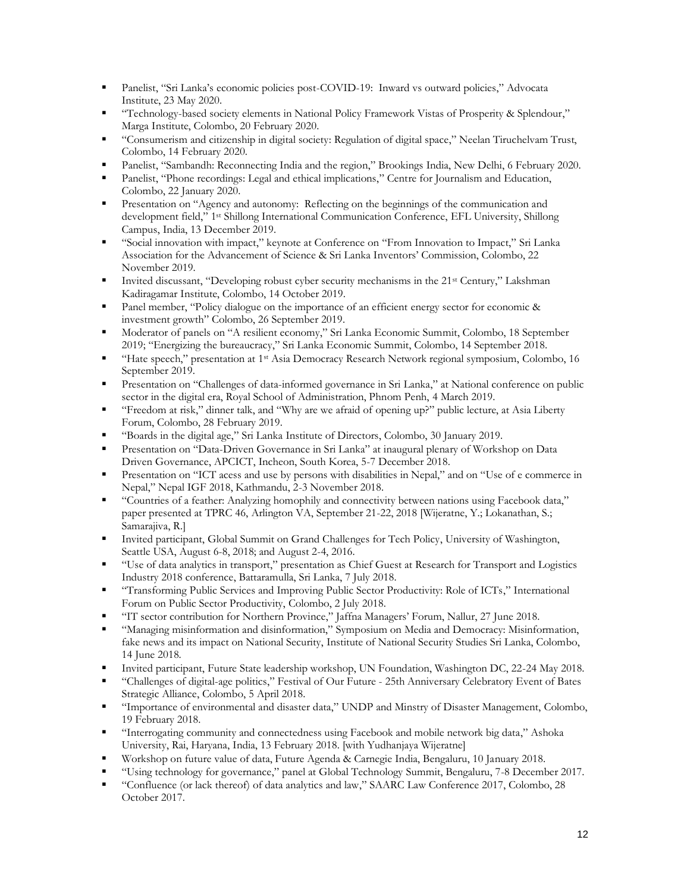- Panelist, "Sri Lanka's economic policies post-COVID-19: Inward vs outward policies," Advocata Institute, 23 May 2020.
- "Technology-based society elements in National Policy Framework Vistas of Prosperity & Splendour," Marga Institute, Colombo, 20 February 2020.
- "Consumerism and citizenship in digital society: Regulation of digital space," Neelan Tiruchelvam Trust, Colombo, 14 February 2020.
- Panelist, "Sambandh: Reconnecting India and the region," Brookings India, New Delhi, 6 February 2020.
- Panelist, "Phone recordings: Legal and ethical implications," Centre for Journalism and Education, Colombo, 22 January 2020.
- **•** Presentation on "Agency and autonomy: Reflecting on the beginnings of the communication and development field," 1 st Shillong International Communication Conference, EFL University, Shillong Campus, India, 13 December 2019.
- "Social innovation with impact," keynote at Conference on "From Innovation to Impact," Sri Lanka Association for the Advancement of Science & Sri Lanka Inventors' Commission, Colombo, 22 November 2019.
- Invited discussant, "Developing robust cyber security mechanisms in the 21<sup>st</sup> Century," Lakshman Kadiragamar Institute, Colombo, 14 October 2019.
- Panel member, "Policy dialogue on the importance of an efficient energy sector for economic & investment growth" Colombo, 26 September 2019.
- Moderator of panels on "A resilient economy," Sri Lanka Economic Summit, Colombo, 18 September 2019; "Energizing the bureaucracy," Sri Lanka Economic Summit, Colombo, 14 September 2018.
- "Hate speech," presentation at 1<sup>st</sup> Asia Democracy Research Network regional symposium, Colombo, 16 September 2019.
- **•** Presentation on "Challenges of data-informed governance in Sri Lanka," at National conference on public sector in the digital era, Royal School of Administration, Phnom Penh, 4 March 2019.
- "Freedom at risk," dinner talk, and "Why are we afraid of opening up?" public lecture, at Asia Liberty Forum, Colombo, 28 February 2019.
- "Boards in the digital age," Sri Lanka Institute of Directors, Colombo, 30 January 2019.
- **•** Presentation on "Data-Driven Governance in Sri Lanka" at inaugural plenary of Workshop on Data Driven Governance, APCICT, Incheon, South Korea, 5-7 December 2018.
- Presentation on "ICT acess and use by persons with disabilities in Nepal," and on "Use of e commerce in Nepal," Nepal IGF 2018, Kathmandu, 2-3 November 2018.
- "Countries of a feather: Analyzing homophily and connectivity between nations using Facebook data," paper presented at TPRC 46, Arlington VA, September 21-22, 2018 [Wijeratne, Y.; Lokanathan, S.; Samarajiva, R.]
- Invited participant, Global Summit on Grand Challenges for Tech Policy, University of Washington, Seattle USA, August 6-8, 2018; and August 2-4, 2016.
- "Use of data analytics in transport," presentation as Chief Guest at Research for Transport and Logistics Industry 2018 conference, Battaramulla, Sri Lanka, 7 July 2018.
- "Transforming Public Services and Improving Public Sector Productivity: Role of ICTs," International Forum on Public Sector Productivity, Colombo, 2 July 2018.
- "IT sector contribution for Northern Province," Jaffna Managers' Forum, Nallur, 27 June 2018.
- "Managing misinformation and disinformation," Symposium on Media and Democracy: Misinformation, fake news and its impact on National Security, Institute of National Security Studies Sri Lanka, Colombo, 14 June 2018.
- Invited participant, Future State leadership workshop, UN Foundation, Washington DC, 22-24 May 2018.
- "Challenges of digital-age politics," Festival of Our Future 25th Anniversary Celebratory Event of Bates Strategic Alliance, Colombo, 5 April 2018.
- "Importance of environmental and disaster data," UNDP and Minstry of Disaster Management, Colombo, 19 February 2018.
- "Interrogating community and connectedness using Facebook and mobile network big data," Ashoka University, Rai, Haryana, India, 13 February 2018. [with Yudhanjaya Wijeratne]
- Workshop on future value of data, Future Agenda & Carnegie India, Bengaluru, 10 January 2018.
- "Using technology for governance," panel at Global Technology Summit, Bengaluru, 7-8 December 2017.
- "Confluence (or lack thereof) of data analytics and law," SAARC Law Conference 2017, Colombo, 28 October 2017.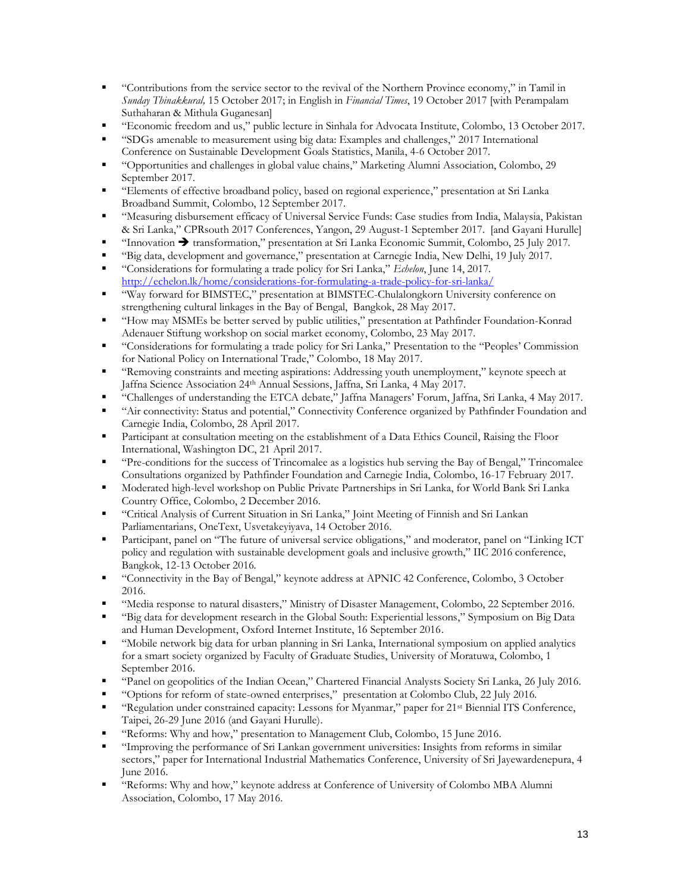- "Contributions from the service sector to the revival of the Northern Province economy," in Tamil in *Sunday Thinakkural,* 15 October 2017; in English in *Financial Times*, 19 October 2017 [with Perampalam Suthaharan & Mithula Guganesan]
- "Economic freedom and us," public lecture in Sinhala for Advocata Institute, Colombo, 13 October 2017.
- "SDGs amenable to measurement using big data: Examples and challenges," 2017 International Conference on Sustainable Development Goals Statistics, Manila, 4-6 October 2017.
- "Opportunities and challenges in global value chains," Marketing Alumni Association, Colombo, 29 September 2017.
- "Elements of effective broadband policy, based on regional experience," presentation at Sri Lanka Broadband Summit, Colombo, 12 September 2017.
- "Measuring disbursement efficacy of Universal Service Funds: Case studies from India, Malaysia, Pakistan & Sri Lanka," CPRsouth 2017 Conferences, Yangon, 29 August-1 September 2017. [and Gayani Hurulle]
- "Innovation ➔ transformation," presentation at Sri Lanka Economic Summit, Colombo, 25 July 2017.
- "Big data, development and governance," presentation at Carnegie India, New Delhi, 19 July 2017.
- "Considerations for formulating a trade policy for Sri Lanka," *Echelon*, June 14, 2017. <http://echelon.lk/home/considerations-for-formulating-a-trade-policy-for-sri-lanka/>
- "Way forward for BIMSTEC," presentation at BIMSTEC-Chulalongkorn University conference on strengthening cultural linkages in the Bay of Bengal, Bangkok, 28 May 2017.
- "How may MSMEs be better served by public utilities," presentation at Pathfinder Foundation-Konrad Adenauer Stiftung workshop on social market economy, Colombo, 23 May 2017.
- "Considerations for formulating a trade policy for Sri Lanka," Presentation to the "Peoples' Commission for National Policy on International Trade," Colombo, 18 May 2017.
- "Removing constraints and meeting aspirations: Addressing youth unemployment," keynote speech at Jaffna Science Association 24th Annual Sessions, Jaffna, Sri Lanka, 4 May 2017.
- "Challenges of understanding the ETCA debate," Jaffna Managers' Forum, Jaffna, Sri Lanka, 4 May 2017.
- "Air connectivity: Status and potential," Connectivity Conference organized by Pathfinder Foundation and Carnegie India, Colombo, 28 April 2017.
- Participant at consultation meeting on the establishment of a Data Ethics Council, Raising the Floor International, Washington DC, 21 April 2017.
- "Pre-conditions for the success of Trincomalee as a logistics hub serving the Bay of Bengal," Trincomalee Consultations organized by Pathfinder Foundation and Carnegie India, Colombo, 16-17 February 2017.
- Moderated high-level workshop on Public Private Partnerships in Sri Lanka, for World Bank Sri Lanka Country Office, Colombo, 2 December 2016.
- "Critical Analysis of Current Situation in Sri Lanka," Joint Meeting of Finnish and Sri Lankan Parliamentarians, OneText, Usvetakeyiyava, 14 October 2016.
- Participant, panel on "The future of universal service obligations," and moderator, panel on "Linking ICT policy and regulation with sustainable development goals and inclusive growth," IIC 2016 conference, Bangkok, 12-13 October 2016.
- "Connectivity in the Bay of Bengal," keynote address at APNIC 42 Conference, Colombo, 3 October 2016.
- "Media response to natural disasters," Ministry of Disaster Management, Colombo, 22 September 2016.
- "Big data for development research in the Global South: Experiential lessons," Symposium on Big Data and Human Development, Oxford Internet Institute, 16 September 2016.
- "Mobile network big data for urban planning in Sri Lanka, International symposium on applied analytics for a smart society organized by Faculty of Graduate Studies, University of Moratuwa, Colombo, 1 September 2016.
- "Panel on geopolitics of the Indian Ocean," Chartered Financial Analysts Society Sri Lanka, 26 July 2016.
- "Options for reform of state-owned enterprises," presentation at Colombo Club, 22 July 2016.
- "Regulation under constrained capacity: Lessons for Myanmar," paper for 21st Biennial ITS Conference, Taipei, 26-29 June 2016 (and Gayani Hurulle).
- "Reforms: Why and how," presentation to Management Club, Colombo, 15 June 2016.
- "Improving the performance of Sri Lankan government universities: Insights from reforms in similar sectors," paper for International Industrial Mathematics Conference, University of Sri Jayewardenepura, 4 June 2016.
- "Reforms: Why and how," keynote address at Conference of University of Colombo MBA Alumni Association, Colombo, 17 May 2016.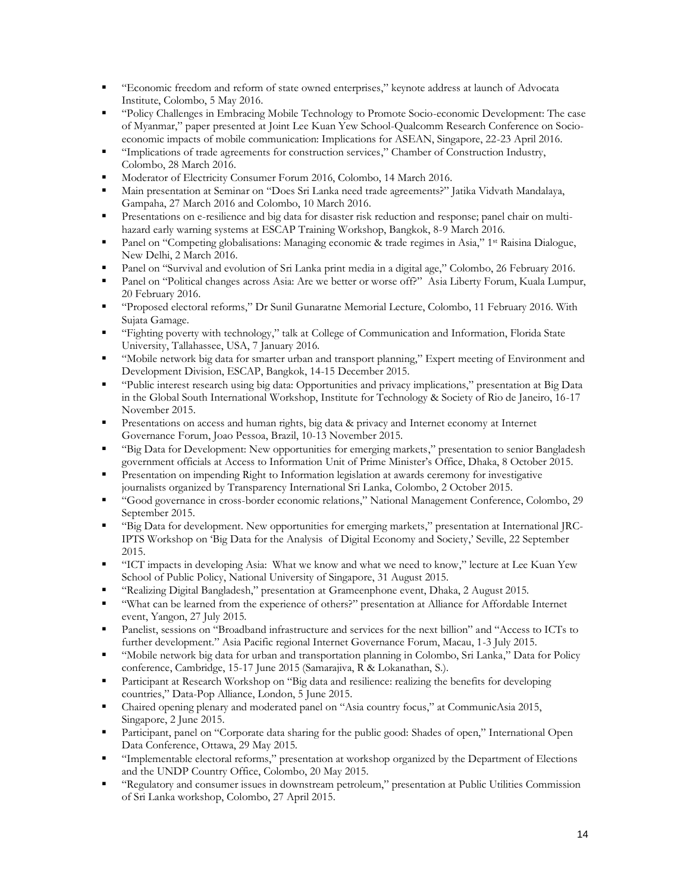- "Economic freedom and reform of state owned enterprises," keynote address at launch of Advocata Institute, Colombo, 5 May 2016.
- "Policy Challenges in Embracing Mobile Technology to Promote Socio-economic Development: The case of Myanmar," paper presented at Joint Lee Kuan Yew School-Qualcomm Research Conference on Socioeconomic impacts of mobile communication: Implications for ASEAN, Singapore, 22-23 April 2016.
- "Implications of trade agreements for construction services," Chamber of Construction Industry, Colombo, 28 March 2016.
- Moderator of Electricity Consumer Forum 2016, Colombo, 14 March 2016.
- Main presentation at Seminar on "Does Sri Lanka need trade agreements?" Jatika Vidvath Mandalaya, Gampaha, 27 March 2016 and Colombo, 10 March 2016.
- **•** Presentations on e-resilience and big data for disaster risk reduction and response; panel chair on multihazard early warning systems at ESCAP Training Workshop, Bangkok, 8-9 March 2016.
- Panel on "Competing globalisations: Managing economic & trade regimes in Asia," 1<sup>st</sup> Raisina Dialogue, New Delhi, 2 March 2016.
- Panel on "Survival and evolution of Sri Lanka print media in a digital age," Colombo, 26 February 2016.
- Panel on "Political changes across Asia: Are we better or worse off?" Asia Liberty Forum, Kuala Lumpur, 20 February 2016.
- "Proposed electoral reforms," Dr Sunil Gunaratne Memorial Lecture, Colombo, 11 February 2016. With Sujata Gamage.
- "Fighting poverty with technology," talk at College of Communication and Information, Florida State University, Tallahassee, USA, 7 January 2016.
- "Mobile network big data for smarter urban and transport planning," Expert meeting of Environment and Development Division, ESCAP, Bangkok, 14-15 December 2015.
- "Public interest research using big data: Opportunities and privacy implications," presentation at Big Data in the Global South International Workshop, Institute for Technology & Society of Rio de Janeiro, 16-17 November 2015.
- Presentations on access and human rights, big data & privacy and Internet economy at Internet Governance Forum, Joao Pessoa, Brazil, 10-13 November 2015.
- "Big Data for Development: New opportunities for emerging markets," presentation to senior Bangladesh government officials at Access to Information Unit of Prime Minister's Office, Dhaka, 8 October 2015.
- Presentation on impending Right to Information legislation at awards ceremony for investigative journalists organized by Transparency International Sri Lanka, Colombo, 2 October 2015.
- "Good governance in cross-border economic relations," National Management Conference, Colombo, 29 September 2015.
- "Big Data for development. New opportunities for emerging markets," presentation at International JRC-IPTS Workshop on 'Big Data for the Analysis of Digital Economy and Society,' Seville, 22 September 2015.
- "ICT impacts in developing Asia: What we know and what we need to know," lecture at Lee Kuan Yew School of Public Policy, National University of Singapore, 31 August 2015.
- "Realizing Digital Bangladesh," presentation at Grameenphone event, Dhaka, 2 August 2015.
- "What can be learned from the experience of others?" presentation at Alliance for Affordable Internet event, Yangon, 27 July 2015.
- Panelist, sessions on "Broadband infrastructure and services for the next billion" and "Access to ICTs to further development." Asia Pacific regional Internet Governance Forum, Macau, 1-3 July 2015.
- "Mobile network big data for urban and transportation planning in Colombo, Sri Lanka," Data for Policy conference, Cambridge, 15-17 June 2015 (Samarajiva, R & Lokanathan, S.).
- **•** Participant at Research Workshop on "Big data and resilience: realizing the benefits for developing countries," Data-Pop Alliance, London, 5 June 2015.
- Chaired opening plenary and moderated panel on "Asia country focus," at CommunicAsia 2015, Singapore, 2 June 2015.
- Participant, panel on "Corporate data sharing for the public good: Shades of open," International Open Data Conference, Ottawa, 29 May 2015.
- "Implementable electoral reforms," presentation at workshop organized by the Department of Elections and the UNDP Country Office, Colombo, 20 May 2015.
- "Regulatory and consumer issues in downstream petroleum," presentation at Public Utilities Commission of Sri Lanka workshop, Colombo, 27 April 2015.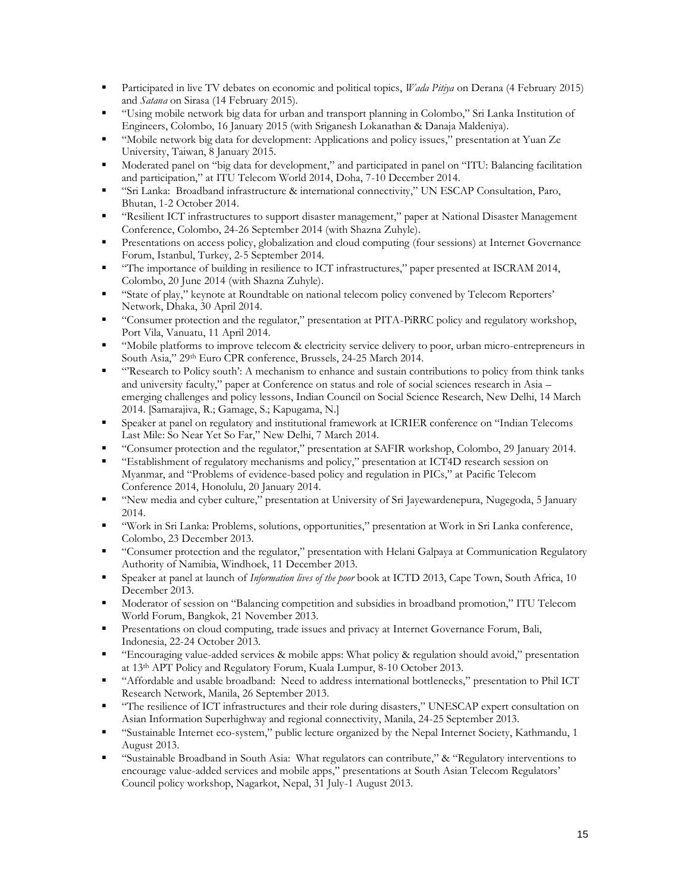- Participated in live TV debates on economic and political topics, *Wada Pitiya* on Derana (4 February 2015) and *Satana* on Sirasa (14 February 2015).
- "Using mobile network big data for urban and transport planning in Colombo," Sri Lanka Institution of Engineers, Colombo, 16 January 2015 (with Sriganesh Lokanathan & Danaja Maldeniya).
- "Mobile network big data for development: Applications and policy issues," presentation at Yuan Ze University, Taiwan, 8 January 2015.
- Moderated panel on "big data for development," and participated in panel on "ITU: Balancing facilitation and participation," at ITU Telecom World 2014, Doha, 7-10 December 2014.
- "Sri Lanka: Broadband infrastructure & international connectivity," UN ESCAP Consultation, Paro, Bhutan, 1-2 October 2014.
- "Resilient ICT infrastructures to support disaster management," paper at National Disaster Management Conference, Colombo, 24-26 September 2014 (with Shazna Zuhyle).
- **•** Presentations on access policy, globalization and cloud computing (four sessions) at Internet Governance Forum, Istanbul, Turkey, 2-5 September 2014.
- "The importance of building in resilience to ICT infrastructures," paper presented at ISCRAM 2014, Colombo, 20 June 2014 (with Shazna Zuhyle).
- "State of play," keynote at Roundtable on national telecom policy convened by Telecom Reporters' Network, Dhaka, 30 April 2014.
- "Consumer protection and the regulator," presentation at PITA-PiRRC policy and regulatory workshop, Port Vila, Vanuatu, 11 April 2014.
- "Mobile platforms to improve telecom & electricity service delivery to poor, urban micro-entrepreneurs in South Asia," 29th Euro CPR conference, Brussels, 24-25 March 2014.
- "'Research to Policy south': A mechanism to enhance and sustain contributions to policy from think tanks and university faculty," paper at Conference on status and role of social sciences research in Asia – emerging challenges and policy lessons, Indian Council on Social Science Research, New Delhi, 14 March 2014. [Samarajiva, R.; Gamage, S.; Kapugama, N.]
- Speaker at panel on regulatory and institutional framework at ICRIER conference on "Indian Telecoms Last Mile: So Near Yet So Far," New Delhi, 7 March 2014.
- "Consumer protection and the regulator," presentation at SAFIR workshop, Colombo, 29 January 2014.
- "Establishment of regulatory mechanisms and policy," presentation at ICT4D research session on Myanmar, and "Problems of evidence-based policy and regulation in PICs," at Pacific Telecom Conference 2014, Honolulu, 20 January 2014.
- "New media and cyber culture," presentation at University of Sri Jayewardenepura, Nugegoda, 5 January 2014.
- "Work in Sri Lanka: Problems, solutions, opportunities," presentation at Work in Sri Lanka conference, Colombo, 23 December 2013.
- "Consumer protection and the regulator," presentation with Helani Galpaya at Communication Regulatory Authority of Namibia, Windhoek, 11 December 2013.
- Speaker at panel at launch of *Information lives of the poor* book at ICTD 2013, Cape Town, South Africa, 10 December 2013.
- Moderator of session on "Balancing competition and subsidies in broadband promotion," ITU Telecom World Forum, Bangkok, 21 November 2013.
- Presentations on cloud computing, trade issues and privacy at Internet Governance Forum, Bali, Indonesia, 22-24 October 2013.
- "Encouraging value-added services & mobile apps: What policy & regulation should avoid," presentation at 13th APT Policy and Regulatory Forum, Kuala Lumpur, 8-10 October 2013.
- "Affordable and usable broadband: Need to address international bottlenecks," presentation to Phil ICT Research Network, Manila, 26 September 2013.
- "The resilience of ICT infrastructures and their role during disasters," UNESCAP expert consultation on Asian Information Superhighway and regional connectivity, Manila, 24-25 September 2013.
- "Sustainable Internet eco-system," public lecture organized by the Nepal Internet Society, Kathmandu, 1 August 2013.
- "Sustainable Broadband in South Asia: What regulators can contribute," & "Regulatory interventions to encourage value-added services and mobile apps," presentations at South Asian Telecom Regulators' Council policy workshop, Nagarkot, Nepal, 31 July-1 August 2013.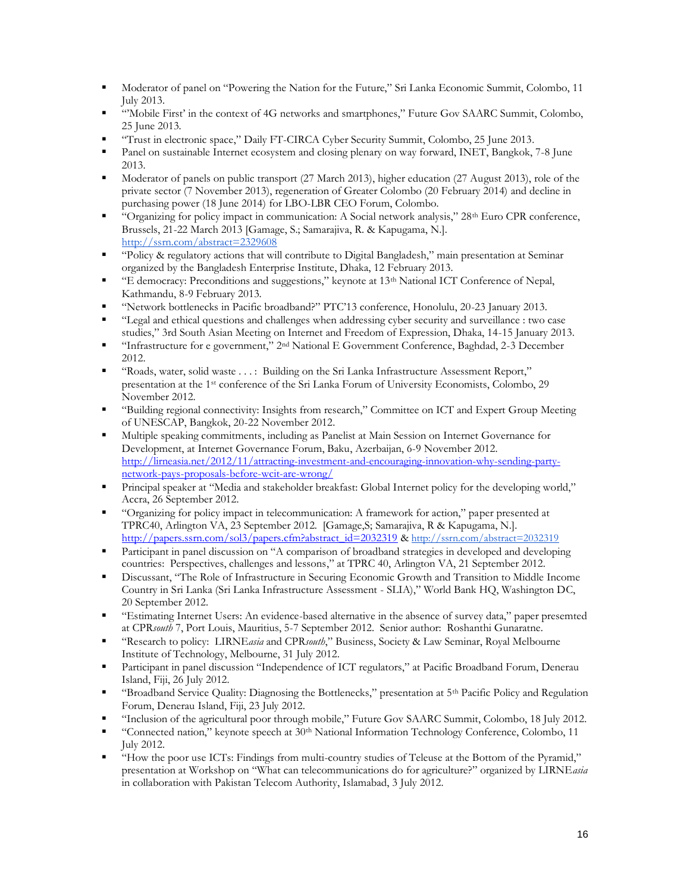- Moderator of panel on "Powering the Nation for the Future," Sri Lanka Economic Summit, Colombo, 11 July 2013.
- "'Mobile First' in the context of 4G networks and smartphones," Future Gov SAARC Summit, Colombo, 25 June 2013.
- "Trust in electronic space," Daily FT-CIRCA Cyber Security Summit, Colombo, 25 June 2013.
- Panel on sustainable Internet ecosystem and closing plenary on way forward, INET, Bangkok, 7-8 June 2013.
- **■** Moderator of panels on public transport (27 March 2013), higher education (27 August 2013), role of the private sector (7 November 2013), regeneration of Greater Colombo (20 February 2014) and decline in purchasing power (18 June 2014) for LBO-LBR CEO Forum, Colombo.
- "Organizing for policy impact in communication: A Social network analysis," 28<sup>th</sup> Euro CPR conference, Brussels, 21-22 March 2013 [Gamage, S.; Samarajiva, R. & Kapugama, N.]. <http://ssrn.com/abstract=2329608>
- "Policy & regulatory actions that will contribute to Digital Bangladesh," main presentation at Seminar organized by the Bangladesh Enterprise Institute, Dhaka, 12 February 2013.
- "E democracy: Preconditions and suggestions," keynote at 13th National ICT Conference of Nepal, Kathmandu, 8-9 February 2013.
- "Network bottlenecks in Pacific broadband?" PTC'13 conference, Honolulu, 20-23 January 2013.
- "Legal and ethical questions and challenges when addressing cyber security and surveillance : two case studies," 3rd South Asian Meeting on Internet and Freedom of Expression, Dhaka, 14-15 January 2013.
- "Infrastructure for e government," 2nd National E Government Conference, Baghdad, 2-3 December 2012.
- "Roads, water, solid waste . . . : Building on the Sri Lanka Infrastructure Assessment Report," presentation at the 1st conference of the Sri Lanka Forum of University Economists, Colombo, 29 November 2012.
- "Building regional connectivity: Insights from research," Committee on ICT and Expert Group Meeting of UNESCAP, Bangkok, 20-22 November 2012.
- Multiple speaking commitments, including as Panelist at Main Session on Internet Governance for Development, at Internet Governance Forum, Baku, Azerbaijan, 6-9 November 2012. [http://lirneasia.net/2012/11/attracting-investment-and-encouraging-innovation-why-sending-party](http://lirneasia.net/2012/11/attracting-investment-and-encouraging-innovation-why-sending-party-network-pays-proposals-before-wcit-are-wrong/)[network-pays-proposals-before-wcit-are-wrong/](http://lirneasia.net/2012/11/attracting-investment-and-encouraging-innovation-why-sending-party-network-pays-proposals-before-wcit-are-wrong/)
- Principal speaker at "Media and stakeholder breakfast: Global Internet policy for the developing world," Accra, 26 September 2012.
- "Organizing for policy impact in telecommunication: A framework for action," paper presented at TPRC40, Arlington VA, 23 September 2012. [Gamage,S; Samarajiva, R & Kapugama, N.]. [http://papers.ssrn.com/sol3/papers.cfm?abstract\\_id=2032319](http://papers.ssrn.com/sol3/papers.cfm?abstract_id=2032319) & [http://ssrn.com/abstract=2032319](http://hq.ssrn.com/GroupProcesses/RedirectClick.cfm?partid=1424510&corid=649&runid=14188&url=http://ssrn.com/abstract=2032319)
- Participant in panel discussion on "A comparison of broadband strategies in developed and developing countries: Perspectives, challenges and lessons," at TPRC 40, Arlington VA, 21 September 2012.
- Discussant, "The Role of Infrastructure in Securing Economic Growth and Transition to Middle Income Country in Sri Lanka (Sri Lanka Infrastructure Assessment - SLIA)," World Bank HQ, Washington DC, 20 September 2012.
- "Estimating Internet Users: An evidence-based alternative in the absence of survey data," paper presemted at CPR*south* 7, Port Louis, Mauritius, 5-7 September 2012. Senior author: Roshanthi Gunaratne.
- "Research to policy: LIRNE*asia* and CPR*south*," Business, Society & Law Seminar, Royal Melbourne Institute of Technology, Melbourne, 31 July 2012.
- **•** Participant in panel discussion "Independence of ICT regulators," at Pacific Broadband Forum, Denerau Island, Fiji, 26 July 2012.
- "Broadband Service Quality: Diagnosing the Bottlenecks," presentation at 5th Pacific Policy and Regulation Forum, Denerau Island, Fiji, 23 July 2012.
- "Inclusion of the agricultural poor through mobile," Future Gov SAARC Summit, Colombo, 18 July 2012.
- "Connected nation," keynote speech at  $30<sup>th</sup>$  National Information Technology Conference, Colombo, 11 July 2012.
- "How the poor use ICTs: Findings from multi-country studies of Teleuse at the Bottom of the Pyramid," presentation at Workshop on "What can telecommunications do for agriculture?" organized by LIRNE*asia* in collaboration with Pakistan Telecom Authority, Islamabad, 3 July 2012.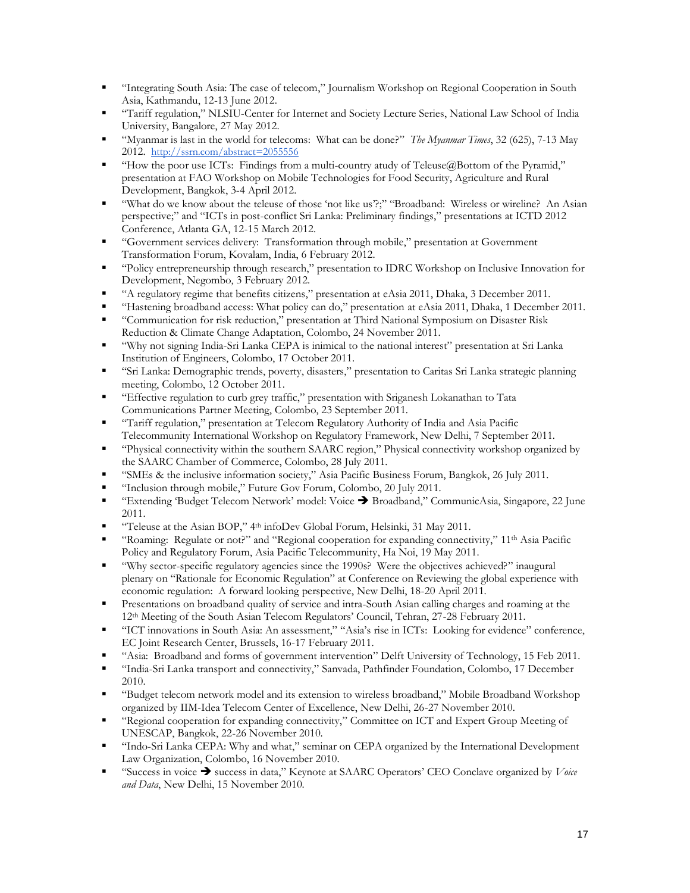- "Integrating South Asia: The case of telecom," Journalism Workshop on Regional Cooperation in South Asia, Kathmandu, 12-13 June 2012.
- "Tariff regulation," NLSIU-Center for Internet and Society Lecture Series, National Law School of India University, Bangalore, 27 May 2012.
- "Myanmar is last in the world for telecoms: What can be done?" *The Myanmar Times*, 32 (625), 7-13 May 2012. [http://ssrn.com/abstract=2055556](http://hq.ssrn.com/GroupProcesses/RedirectClick.cfm?partid=1424510&corid=649&runid=14188&url=http://ssrn.com/abstract=2055556)
- "How the poor use ICTs: Findings from a multi-country atudy of Teleuse@Bottom of the Pyramid," presentation at FAO Workshop on Mobile Technologies for Food Security, Agriculture and Rural Development, Bangkok, 3-4 April 2012.
- "What do we know about the teleuse of those 'not like us'?;" "Broadband: Wireless or wireline? An Asian perspective;" and "ICTs in post-conflict Sri Lanka: Preliminary findings," presentations at ICTD 2012 Conference, Atlanta GA, 12-15 March 2012.
- "Government services delivery: Transformation through mobile," presentation at Government Transformation Forum, Kovalam, India, 6 February 2012.
- "Policy entrepreneurship through research," presentation to IDRC Workshop on Inclusive Innovation for Development, Negombo, 3 February 2012.
- "A regulatory regime that benefits citizens," presentation at eAsia 2011, Dhaka, 3 December 2011.
- "Hastening broadband access: What policy can do," presentation at eAsia 2011, Dhaka, 1 December 2011.
- "Communication for risk reduction," presentation at Third National Symposium on Disaster Risk Reduction & Climate Change Adaptation, Colombo, 24 November 2011.
- "Why not signing India-Sri Lanka CEPA is inimical to the national interest" presentation at Sri Lanka Institution of Engineers, Colombo, 17 October 2011.
- "Sri Lanka: Demographic trends, poverty, disasters," presentation to Caritas Sri Lanka strategic planning meeting, Colombo, 12 October 2011.
- "Effective regulation to curb grey traffic," presentation with Sriganesh Lokanathan to Tata Communications Partner Meeting, Colombo, 23 September 2011.
- "Tariff regulation," presentation at Telecom Regulatory Authority of India and Asia Pacific Telecommunity International Workshop on Regulatory Framework, New Delhi, 7 September 2011.
- "Physical connectivity within the southern SAARC region," Physical connectivity workshop organized by the SAARC Chamber of Commerce, Colombo, 28 July 2011.
- "SMEs & the inclusive information society," Asia Pacific Business Forum, Bangkok, 26 July 2011.
- "Inclusion through mobile," Future Gov Forum, Colombo, 20 July 2011.
- "Extending 'Budget Telecom Network' model: Voice → Broadband," CommunicAsia, Singapore, 22 June 2011.
- "Teleuse at the Asian BOP," 4<sup>th</sup> infoDev Global Forum, Helsinki, 31 May 2011.
- "Roaming: Regulate or not?" and "Regional cooperation for expanding connectivity," 11<sup>th</sup> Asia Pacific Policy and Regulatory Forum, Asia Pacific Telecommunity, Ha Noi, 19 May 2011.
- "Why sector-specific regulatory agencies since the 1990s? Were the objectives achieved?" inaugural plenary on "Rationale for Economic Regulation" at Conference on Reviewing the global experience with economic regulation: A forward looking perspective, New Delhi, 18-20 April 2011.
- Presentations on broadband quality of service and intra-South Asian calling charges and roaming at the 12th Meeting of the South Asian Telecom Regulators' Council, Tehran, 27-28 February 2011.
- "ICT innovations in South Asia: An assessment," "Asia's rise in ICTs: Looking for evidence" conference, EC Joint Research Center, Brussels, 16-17 February 2011.
- "Asia: Broadband and forms of government intervention" Delft University of Technology, 15 Feb 2011.
- "India-Sri Lanka transport and connectivity," Sanvada, Pathfinder Foundation, Colombo, 17 December 2010.
- "Budget telecom network model and its extension to wireless broadband," Mobile Broadband Workshop organized by IIM-Idea Telecom Center of Excellence, New Delhi, 26-27 November 2010.
- "Regional cooperation for expanding connectivity," Committee on ICT and Expert Group Meeting of UNESCAP, Bangkok, 22-26 November 2010.
- "Indo-Sri Lanka CEPA: Why and what," seminar on CEPA organized by the International Development Law Organization, Colombo, 16 November 2010.
- "Success in voice ➔ success in data," Keynote at SAARC Operators' CEO Conclave organized by *Voice and Data*, New Delhi, 15 November 2010.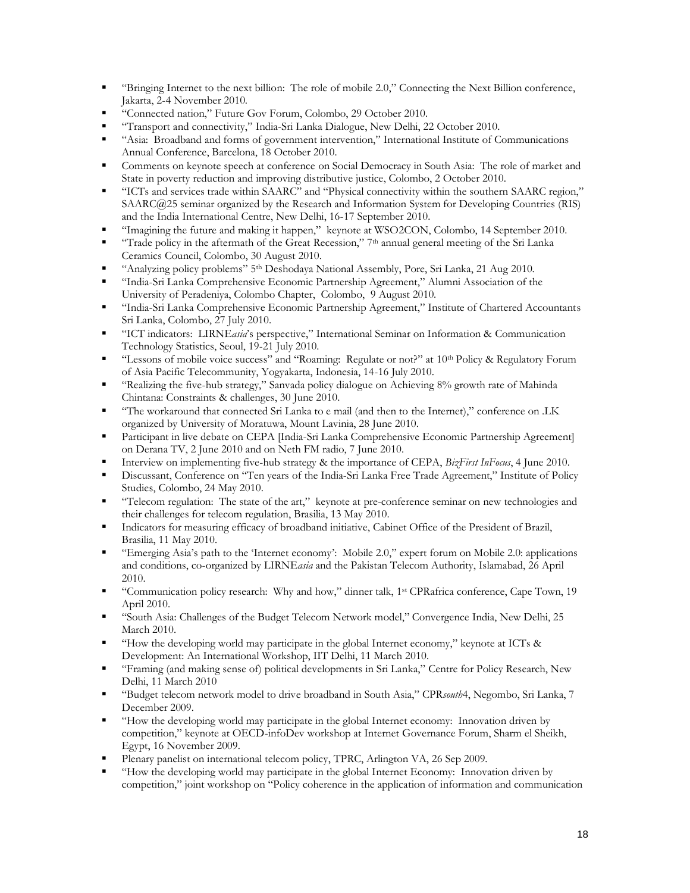- "Bringing Internet to the next billion: The role of mobile 2.0," Connecting the Next Billion conference, Jakarta, 2-4 November 2010.
- "Connected nation," Future Gov Forum, Colombo, 29 October 2010.
- "Transport and connectivity," India-Sri Lanka Dialogue, New Delhi, 22 October 2010.
- "Asia: Broadband and forms of government intervention," International Institute of Communications Annual Conference, Barcelona, 18 October 2010.
- **•** Comments on keynote speech at conference on Social Democracy in South Asia: The role of market and State in poverty reduction and improving distributive justice, Colombo, 2 October 2010.
- "ICTs and services trade within SAARC" and "Physical connectivity within the southern SAARC region," SAARC@25 seminar organized by the Research and Information System for Developing Countries (RIS) and the India International Centre, New Delhi, 16-17 September 2010.
- "Imagining the future and making it happen," keynote at WSO2CON, Colombo, 14 September 2010.
- **•** "Trade policy in the aftermath of the Great Recession," 7<sup>th</sup> annual general meeting of the Sri Lanka Ceramics Council, Colombo, 30 August 2010.
- "Analyzing policy problems" 5th Deshodaya National Assembly, Pore, Sri Lanka, 21 Aug 2010.
- "India-Sri Lanka Comprehensive Economic Partnership Agreement," Alumni Association of the University of Peradeniya, Colombo Chapter, Colombo, 9 August 2010.
- "India-Sri Lanka Comprehensive Economic Partnership Agreement," Institute of Chartered Accountants Sri Lanka, Colombo, 27 July 2010.
- "ICT indicators: LIRNE*asia*'s perspective," International Seminar on Information & Communication Technology Statistics, Seoul, 19-21 July 2010.
- "Lessons of mobile voice success" and "Roaming: Regulate or not?" at 10<sup>th</sup> Policy & Regulatory Forum of Asia Pacific Telecommunity, Yogyakarta, Indonesia, 14-16 July 2010.
- "Realizing the five-hub strategy," Sanvada policy dialogue on Achieving 8% growth rate of Mahinda Chintana: Constraints & challenges, 30 June 2010.
- "The workaround that connected Sri Lanka to e mail (and then to the Internet)," conference on .LK organized by University of Moratuwa, Mount Lavinia, 28 June 2010.
- Participant in live debate on CEPA [India-Sri Lanka Comprehensive Economic Partnership Agreement] on Derana TV, 2 June 2010 and on Neth FM radio, 7 June 2010.
- Interview on implementing five-hub strategy & the importance of CEPA, *BizFirst InFocus*, 4 June 2010.
- Discussant, Conference on "Ten years of the India-Sri Lanka Free Trade Agreement," Institute of Policy Studies, Colombo, 24 May 2010.
- "Telecom regulation: The state of the art," keynote at pre-conference seminar on new technologies and their challenges for telecom regulation, Brasilia, 13 May 2010.
- Indicators for measuring efficacy of broadband initiative, Cabinet Office of the President of Brazil, Brasilia, 11 May 2010.
- "Emerging Asia's path to the 'Internet economy': Mobile 2.0," expert forum on Mobile 2.0: applications and conditions, co-organized by LIRNE*asia* and the Pakistan Telecom Authority, Islamabad, 26 April 2010.
- "Communication policy research: Why and how," dinner talk, 1 st CPRafrica conference, Cape Town, 19 April 2010.
- "South Asia: Challenges of the Budget Telecom Network model," Convergence India, New Delhi, 25 March 2010.
- "How the developing world may participate in the global Internet economy," keynote at ICTs & Development: An International Workshop, IIT Delhi, 11 March 2010.
- "Framing (and making sense of) political developments in Sri Lanka," Centre for Policy Research, New Delhi, 11 March 2010
- "Budget telecom network model to drive broadband in South Asia," CPR*south*4, Negombo, Sri Lanka, 7 December 2009.
- "How the developing world may participate in the global Internet economy: Innovation driven by competition," keynote at OECD-infoDev workshop at Internet Governance Forum, Sharm el Sheikh, Egypt, 16 November 2009.
- Plenary panelist on international telecom policy, TPRC, Arlington VA, 26 Sep 2009.
- "How the developing world may participate in the global Internet Economy: Innovation driven by competition," joint workshop on "Policy coherence in the application of information and communication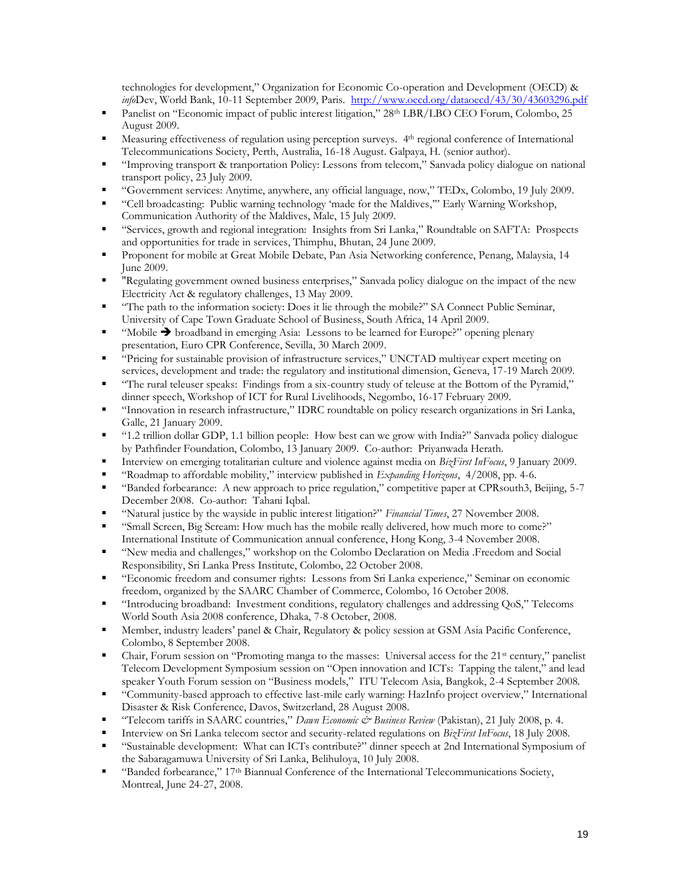technologies for development," Organization for Economic Co-operation and Development (OECD) & *info*Dev, World Bank, 10-11 September 2009, Paris.<http://www.oecd.org/dataoecd/43/30/43603296.pdf>

- Panelist on "Economic impact of public interest litigation," 28<sup>th</sup> LBR/LBO CEO Forum, Colombo, 25 August 2009.
- **•** Measuring effectiveness of regulation using perception surveys. 4<sup>th</sup> regional conference of International Telecommunications Society, Perth, Australia, 16-18 August. Galpaya, H. (senior author).
- "Improving transport & tranportation Policy: Lessons from telecom," Sanvada policy dialogue on national transport policy, 23 July 2009.
- "Government services: Anytime, anywhere, any official language, now," TEDx, Colombo, 19 July 2009.
- "Cell broadcasting: Public warning technology 'made for the Maldives,'" Early Warning Workshop, Communication Authority of the Maldives, Male, 15 July 2009.
- "Services, growth and regional integration: Insights from Sri Lanka," Roundtable on SAFTA: Prospects and opportunities for trade in services, Thimphu, Bhutan, 24 June 2009.
- Proponent for mobile at Great Mobile Debate, Pan Asia Networking conference, Penang, Malaysia, 14 June 2009.
- "Regulating government owned business enterprises," Sanvada policy dialogue on the impact of the new Electricity Act & regulatory challenges, 13 May 2009.
- "The path to the information society: Does it lie through the mobile?" SA Connect Public Seminar, University of Cape Town Graduate School of Business, South Africa, 14 April 2009.
- "Mobile  $\rightarrow$  broadband in emerging Asia: Lessons to be learned for Europe?" opening plenary presentation, Euro CPR Conference, Sevilla, 30 March 2009.
- "Pricing for sustainable provision of infrastructure services," UNCTAD multiyear expert meeting on services, development and trade: the regulatory and institutional dimension, Geneva, 17-19 March 2009.
- "The rural teleuser speaks: Findings from a six-country study of teleuse at the Bottom of the Pyramid," dinner speech, Workshop of ICT for Rural Livelihoods, Negombo, 16-17 February 2009.
- "Innovation in research infrastructure," IDRC roundtable on policy research organizations in Sri Lanka, Galle, 21 January 2009.
- "1.2 trillion dollar GDP, 1.1 billion people: How best can we grow with India?" Sanvada policy dialogue by Pathfinder Foundation, Colombo, 13 January 2009. Co-author: Priyanwada Herath.
- Interview on emerging totalitarian culture and violence against media on *BizFirst InFocus*, 9 January 2009.
- "Roadmap to affordable mobility," interview published in *Expanding Horizons*, 4/2008, pp. 4-6.
- "Banded forbearance: A new approach to price regulation," competitive paper at CPRsouth3, Beijing, 5-7 December 2008. Co-author: Tahani Iqbal.
- "Natural justice by the wayside in public interest litigation?" *Financial Times*, 27 November 2008.
- "Small Screen, Big Scream: How much has the mobile really delivered, how much more to come?" International Institute of Communication annual conference, Hong Kong, 3-4 November 2008.
- "New media and challenges," workshop on the Colombo Declaration on Media .Freedom and Social Responsibility, Sri Lanka Press Institute, Colombo, 22 October 2008.
- "Economic freedom and consumer rights: Lessons from Sri Lanka experience," Seminar on economic freedom, organized by the SAARC Chamber of Commerce, Colombo, 16 October 2008.
- "Introducing broadband: Investment conditions, regulatory challenges and addressing QoS," Telecoms World South Asia 2008 conference, Dhaka, 7-8 October, 2008.
- Member, industry leaders' panel & Chair, Regulatory & policy session at GSM Asia Pacific Conference, Colombo, 8 September 2008.
- Chair, Forum session on "Promoting manga to the masses: Universal access for the 21<sup>st</sup> century," panelist Telecom Development Symposium session on "Open innovation and ICTs: Tapping the talent," and lead speaker Youth Forum session on "Business models," ITU Telecom Asia, Bangkok, 2-4 September 2008.
- "Community-based approach to effective last-mile early warning: HazInfo project overview," International Disaster & Risk Conference, Davos, Switzerland, 28 August 2008.
- "Telecom tariffs in SAARC countries," *Dawn Economic & Business Review* (Pakistan), 21 July 2008, p. 4.
- Interview on Sri Lanka telecom sector and security-related regulations on *BizFirst InFocus*, 18 July 2008.
- "Sustainable development: What can ICTs contribute?" dinner speech at 2nd International Symposium of the Sabaragamuwa University of Sri Lanka, Belihuloya, 10 July 2008.
- "Banded forbearance," 17<sup>th</sup> Biannual Conference of the International Telecommunications Society, Montreal, June 24-27, 2008.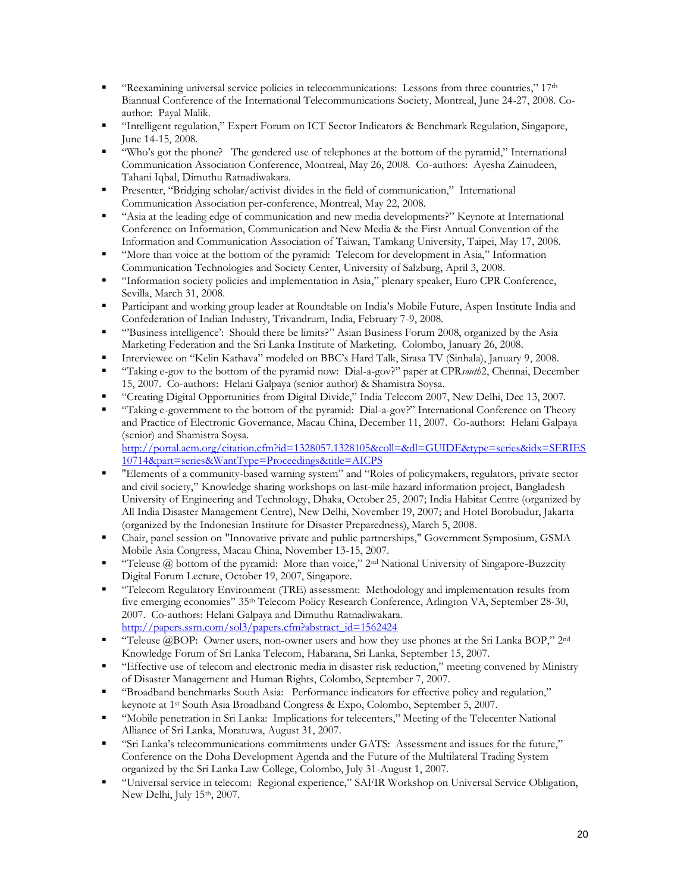- "Reexamining universal service policies in telecommunications: Lessons from three countries,"  $17<sup>th</sup>$ Biannual Conference of the International Telecommunications Society, Montreal, June 24-27, 2008. Coauthor: Payal Malik.
- "Intelligent regulation," Expert Forum on ICT Sector Indicators & Benchmark Regulation, Singapore, June 14-15, 2008.
- "Who's got the phone? The gendered use of telephones at the bottom of the pyramid," International Communication Association Conference, Montreal, May 26, 2008. Co-authors: Ayesha Zainudeen, Tahani Iqbal, Dimuthu Ratnadiwakara.
- Presenter, "Bridging scholar/activist divides in the field of communication," International Communication Association per-conference, Montreal, May 22, 2008.
- "Asia at the leading edge of communication and new media developments?" Keynote at International Conference on Information, Communication and New Media & the First Annual Convention of the Information and Communication Association of Taiwan, Tamkang University, Taipei, May 17, 2008.
- "More than voice at the bottom of the pyramid: Telecom for development in Asia," Information Communication Technologies and Society Center, University of Salzburg, April 3, 2008.
- "Information society policies and implementation in Asia," plenary speaker, Euro CPR Conference, Sevilla, March 31, 2008.
- Participant and working group leader at Roundtable on India's Mobile Future, Aspen Institute India and Confederation of Indian Industry, Trivandrum, India, February 7-9, 2008.
- "Business intelligence': Should there be limits?" Asian Business Forum 2008, organized by the Asia Marketing Federation and the Sri Lanka Institute of Marketing. Colombo, January 26, 2008.
- Interviewee on "Kelin Kathava" modeled on BBC's Hard Talk, Sirasa TV (Sinhala), January 9, 2008.
- "Taking e-gov to the bottom of the pyramid now: Dial-a-gov?" paper at CPR*south*2, Chennai, December 15, 2007. Co-authors: Helani Galpaya (senior author) & Shamistra Soysa.
- "Creating Digital Opportunities from Digital Divide," India Telecom 2007, New Delhi, Dec 13, 2007.
- "Taking e-government to the bottom of the pyramid: Dial-a-gov?" International Conference on Theory and Practice of Electronic Governance, Macau China, December 11, 2007. Co-authors: Helani Galpaya (senior) and Shamistra Soysa. [http://portal.acm.org/citation.cfm?id=1328057.1328105&coll=&dl=GUIDE&type=series&idx=SERIES](http://portal.acm.org/citation.cfm?id=1328057.1328105&coll=&dl=GUIDE&type=series&idx=SERIES10714&part=series&WantType=Proceedings&title=AICPS)

[10714&part=series&WantType=Proceedings&title=AICPS](http://portal.acm.org/citation.cfm?id=1328057.1328105&coll=&dl=GUIDE&type=series&idx=SERIES10714&part=series&WantType=Proceedings&title=AICPS)

- "Elements of a community-based warning system" and "Roles of policymakers, regulators, private sector and civil society," Knowledge sharing workshops on last-mile hazard information project, Bangladesh University of Engineering and Technology, Dhaka, October 25, 2007; India Habitat Centre (organized by All India Disaster Management Centre), New Delhi, November 19, 2007; and Hotel Borobudur, Jakarta (organized by the Indonesian Institute for Disaster Preparedness), March 5, 2008.
- Chair, panel session on "Innovative private and public partnerships," Government Symposium, GSMA Mobile Asia Congress, Macau China, November 13-15, 2007.
- "Teleuse  $@$  bottom of the pyramid: More than voice,"  $2<sup>nd</sup>$  National University of Singapore-Buzzcity Digital Forum Lecture, October 19, 2007, Singapore.
- "Telecom Regulatory Environment (TRE) assessment: Methodology and implementation results from five emerging economies" 35th Telecom Policy Research Conference, Arlington VA, September 28-30, 2007. Co-authors: Helani Galpaya and Dimuthu Ratnadiwakara. [http://papers.ssrn.com/sol3/papers.cfm?abstract\\_id=1562424](http://papers.ssrn.com/sol3/papers.cfm?abstract_id=1562424)
- "Teleuse @BOP: Owner users, non-owner users and how they use phones at the Sri Lanka BOP,"  $2<sup>nd</sup>$ Knowledge Forum of Sri Lanka Telecom, Habarana, Sri Lanka, September 15, 2007.
- "Effective use of telecom and electronic media in disaster risk reduction," meeting convened by Ministry of Disaster Management and Human Rights, Colombo, September 7, 2007.
- "Broadband benchmarks South Asia: Performance indicators for effective policy and regulation," keynote at 1st South Asia Broadband Congress & Expo, Colombo, September 5, 2007.
- "Mobile penetration in Sri Lanka: Implications for telecenters," Meeting of the Telecenter National Alliance of Sri Lanka, Moratuwa, August 31, 2007.
- "Sri Lanka's telecommunications commitments under GATS: Assessment and issues for the future," Conference on the Doha Development Agenda and the Future of the Multilateral Trading System organized by the Sri Lanka Law College, Colombo, July 31-August 1, 2007.
- "Universal service in telecom: Regional experience," SAFIR Workshop on Universal Service Obligation, New Delhi, July 15<sup>th</sup>, 2007.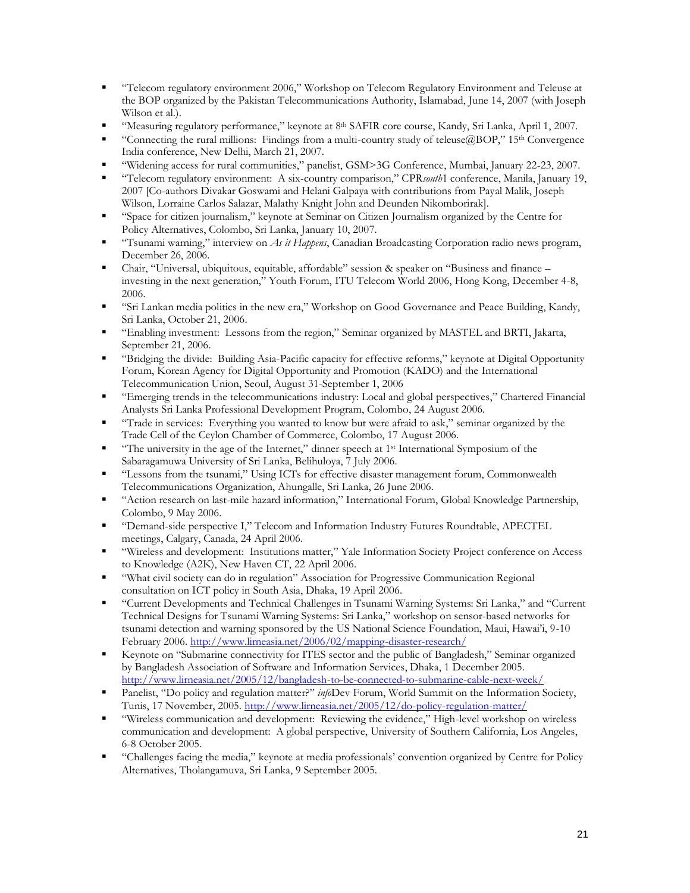- "Telecom regulatory environment 2006," Workshop on Telecom Regulatory Environment and Teleuse at the BOP organized by the Pakistan Telecommunications Authority, Islamabad, June 14, 2007 (with Joseph Wilson et al.).
- "Measuring regulatory performance," keynote at 8<sup>th</sup> SAFIR core course, Kandy, Sri Lanka, April 1, 2007.
- **•** "Connecting the rural millions: Findings from a multi-country study of teleuse $@BOP$ ,"  $15<sup>th</sup>$  Convergence India conference, New Delhi, March 21, 2007.
- "Widening access for rural communities," panelist, GSM>3G Conference, Mumbai, January 22-23, 2007.
- "Telecom regulatory environment: A six-country comparison," CPR*south*1 conference, Manila, January 19, 2007 [Co-authors Divakar Goswami and Helani Galpaya with contributions from Payal Malik, Joseph Wilson, Lorraine Carlos Salazar, Malathy Knight John and Deunden Nikomborirak].
- "Space for citizen journalism," keynote at Seminar on Citizen Journalism organized by the Centre for Policy Alternatives, Colombo, Sri Lanka, January 10, 2007.
- "Tsunami warning," interview on *As it Happens*, Canadian Broadcasting Corporation radio news program, December 26, 2006.
- Chair, "Universal, ubiquitous, equitable, affordable" session & speaker on "Business and finance investing in the next generation," Youth Forum, ITU Telecom World 2006, Hong Kong, December 4-8, 2006.
- "Sri Lankan media politics in the new era," Workshop on Good Governance and Peace Building, Kandy, Sri Lanka, October 21, 2006.
- "Enabling investment: Lessons from the region," Seminar organized by MASTEL and BRTI, Jakarta, September 21, 2006.
- "Bridging the divide: Building Asia-Pacific capacity for effective reforms," keynote at Digital Opportunity Forum, Korean Agency for Digital Opportunity and Promotion (KADO) and the International Telecommunication Union, Seoul, August 31-September 1, 2006
- "Emerging trends in the telecommunications industry: Local and global perspectives," Chartered Financial Analysts Sri Lanka Professional Development Program, Colombo, 24 August 2006.
- "Trade in services: Everything you wanted to know but were afraid to ask," seminar organized by the Trade Cell of the Ceylon Chamber of Commerce, Colombo, 17 August 2006.
- **•** "The university in the age of the Internet," dinner speech at 1<sup>st</sup> International Symposium of the Sabaragamuwa University of Sri Lanka, Belihuloya, 7 July 2006.
- "Lessons from the tsunami," Using ICTs for effective disaster management forum, Commonwealth Telecommunications Organization, Ahungalle, Sri Lanka, 26 June 2006.
- "Action research on last-mile hazard information," International Forum, Global Knowledge Partnership, Colombo, 9 May 2006.
- "Demand-side perspective I," Telecom and Information Industry Futures Roundtable, APECTEL meetings, Calgary, Canada, 24 April 2006.
- "Wireless and development: Institutions matter," Yale Information Society Project conference on Access to Knowledge (A2K), New Haven CT, 22 April 2006.
- "What civil society can do in regulation" Association for Progressive Communication Regional consultation on ICT policy in South Asia, Dhaka, 19 April 2006.
- "Current Developments and Technical Challenges in Tsunami Warning Systems: Sri Lanka," and "Current Technical Designs for Tsunami Warning Systems: Sri Lanka," workshop on sensor-based networks for tsunami detection and warning sponsored by the US National Science Foundation, Maui, Hawai'i, 9-10 February 2006. <http://www.lirneasia.net/2006/02/mapping-disaster-research/>
- Keynote on "Submarine connectivity for ITES sector and the public of Bangladesh," Seminar organized by Bangladesh Association of Software and Information Services, Dhaka, 1 December 2005. <http://www.lirneasia.net/2005/12/bangladesh-to-be-connected-to-submarine-cable-next-week/>
- Panelist, "Do policy and regulation matter?" *info*Dev Forum, World Summit on the Information Society, Tunis, 17 November, 2005. <http://www.lirneasia.net/2005/12/do-policy-regulation-matter/>
- "Wireless communication and development: Reviewing the evidence," High-level workshop on wireless communication and development: A global perspective, University of Southern California, Los Angeles, 6-8 October 2005.
- "Challenges facing the media," keynote at media professionals' convention organized by Centre for Policy Alternatives, Tholangamuva, Sri Lanka, 9 September 2005.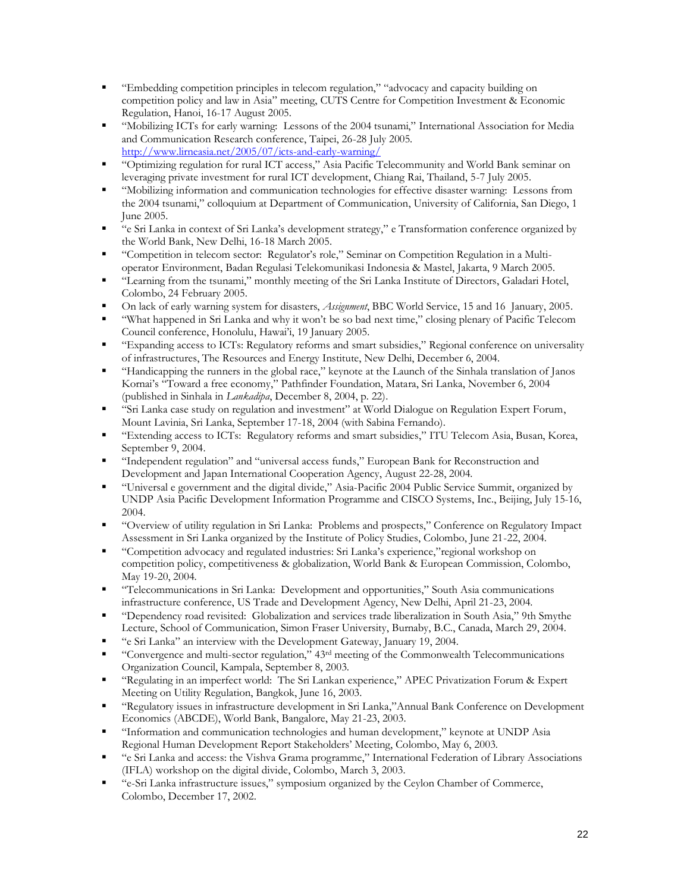- "Embedding competition principles in telecom regulation," "advocacy and capacity building on competition policy and law in Asia" meeting, CUTS Centre for Competition Investment & Economic Regulation, Hanoi, 16-17 August 2005.
- "Mobilizing ICTs for early warning: Lessons of the 2004 tsunami," International Association for Media and Communication Research conference, Taipei, 26-28 July 2005. <http://www.lirneasia.net/2005/07/icts-and-early-warning/>
- "Optimizing regulation for rural ICT access," Asia Pacific Telecommunity and World Bank seminar on leveraging private investment for rural ICT development, Chiang Rai, Thailand, 5-7 July 2005.
- "Mobilizing information and communication technologies for effective disaster warning: Lessons from the 2004 tsunami," colloquium at Department of Communication, University of California, San Diego, 1 June 2005.
- "e Sri Lanka in context of Sri Lanka's development strategy," e Transformation conference organized by the World Bank, New Delhi, 16-18 March 2005.
- "Competition in telecom sector: Regulator's role," Seminar on Competition Regulation in a Multioperator Environment, Badan Regulasi Telekomunikasi Indonesia & Mastel, Jakarta, 9 March 2005.
- "Learning from the tsunami," monthly meeting of the Sri Lanka Institute of Directors, Galadari Hotel, Colombo, 24 February 2005.
- On lack of early warning system for disasters, *Assignment*, BBC World Service, 15 and 16 January, 2005.
- "What happened in Sri Lanka and why it won't be so bad next time," closing plenary of Pacific Telecom Council conference, Honolulu, Hawai'i, 19 January 2005.
- "Expanding access to ICTs: Regulatory reforms and smart subsidies," Regional conference on universality of infrastructures, The Resources and Energy Institute, New Delhi, December 6, 2004.
- "Handicapping the runners in the global race," keynote at the Launch of the Sinhala translation of Janos Kornai's "Toward a free economy," Pathfinder Foundation, Matara, Sri Lanka, November 6, 2004 (published in Sinhala in *Lankadipa*, December 8, 2004, p. 22).
- "Sri Lanka case study on regulation and investment" at World Dialogue on Regulation Expert Forum, Mount Lavinia, Sri Lanka, September 17-18, 2004 (with Sabina Fernando).
- "Extending access to ICTs: Regulatory reforms and smart subsidies," ITU Telecom Asia, Busan, Korea, September 9, 2004.
- "Independent regulation" and "universal access funds," European Bank for Reconstruction and Development and Japan International Cooperation Agency, August 22-28, 2004.
- "Universal e government and the digital divide," Asia-Pacific 2004 Public Service Summit, organized by UNDP Asia Pacific Development Information Programme and CISCO Systems, Inc., Beijing, July 15-16, 2004.
- "Overview of utility regulation in Sri Lanka: Problems and prospects," Conference on Regulatory Impact Assessment in Sri Lanka organized by the Institute of Policy Studies, Colombo, June 21-22, 2004.
- "Competition advocacy and regulated industries: Sri Lanka's experience,"regional workshop on competition policy, competitiveness & globalization, World Bank & European Commission, Colombo, May 19-20, 2004.
- "Telecommunications in Sri Lanka: Development and opportunities," South Asia communications infrastructure conference, US Trade and Development Agency, New Delhi, April 21-23, 2004.
- "Dependency road revisited: Globalization and services trade liberalization in South Asia," 9th Smythe Lecture, School of Communication, Simon Fraser University, Burnaby, B.C., Canada, March 29, 2004.
- "e Sri Lanka" an interview with the Development Gateway, January 19, 2004.
- "Convergence and multi-sector regulation,"  $43<sup>rd</sup>$  meeting of the Commonwealth Telecommunications Organization Council, Kampala, September 8, 2003.
- "Regulating in an imperfect world: The Sri Lankan experience," APEC Privatization Forum & Expert Meeting on Utility Regulation, Bangkok, June 16, 2003.
- "Regulatory issues in infrastructure development in Sri Lanka,"Annual Bank Conference on Development Economics (ABCDE), World Bank, Bangalore, May 21-23, 2003.
- "Information and communication technologies and human development," keynote at UNDP Asia Regional Human Development Report Stakeholders' Meeting, Colombo, May 6, 2003.
- "e Sri Lanka and access: the Vishva Grama programme," International Federation of Library Associations (IFLA) workshop on the digital divide, Colombo, March 3, 2003.
- "e-Sri Lanka infrastructure issues," symposium organized by the Ceylon Chamber of Commerce, Colombo, December 17, 2002.